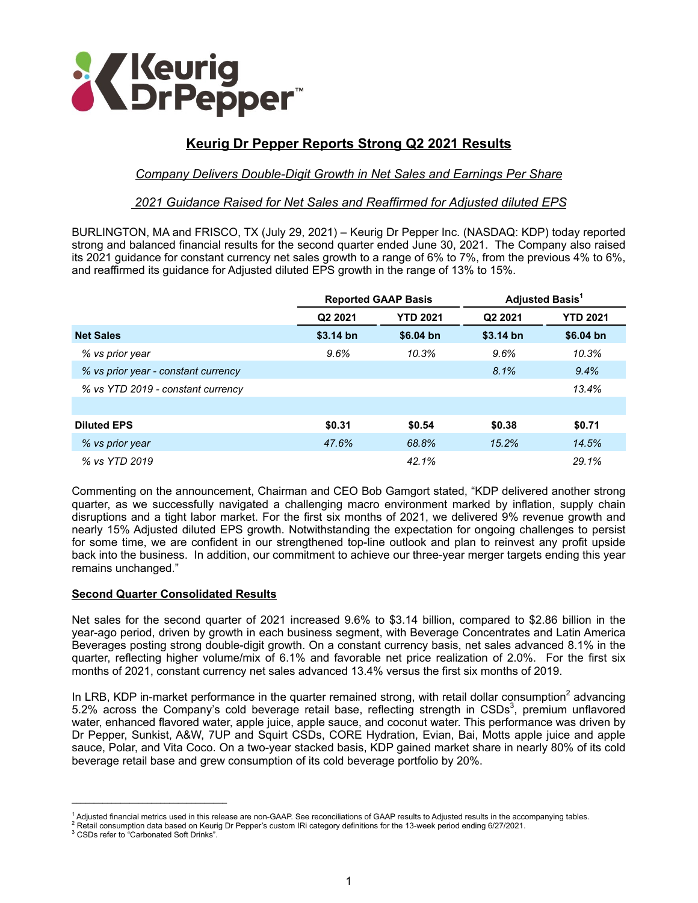

# **Keurig Dr Pepper Reports Strong Q2 2021 Results**

# *Company Delivers Double-Digit Growth in Net Sales and Earnings Per Share*

#### *2021 Guidance Raised for Net Sales and Reaffirmed for Adjusted diluted EPS*

BURLINGTON, MA and FRISCO, TX (July 29, 2021) – Keurig Dr Pepper Inc. (NASDAQ: KDP) today reported strong and balanced financial results for the second quarter ended June 30, 2021. The Company also raised its 2021 guidance for constant currency net sales growth to a range of 6% to 7%, from the previous 4% to 6%, and reaffirmed its guidance for Adjusted diluted EPS growth in the range of 13% to 15%.

|                                     |                     | <b>Reported GAAP Basis</b> |                     | Adjusted Basis <sup>1</sup> |
|-------------------------------------|---------------------|----------------------------|---------------------|-----------------------------|
|                                     | Q <sub>2</sub> 2021 | <b>YTD 2021</b>            | Q <sub>2</sub> 2021 | <b>YTD 2021</b>             |
| <b>Net Sales</b>                    | $$3.14$ bn          | $$6.04$ bn                 | $$3.14$ bn          | $$6.04$ bn                  |
| % vs prior year                     | 9.6%                | 10.3%                      | 9.6%                | 10.3%                       |
| % vs prior year - constant currency |                     |                            | 8.1%                | 9.4%                        |
| % vs YTD 2019 - constant currency   |                     |                            |                     | 13.4%                       |
|                                     |                     |                            |                     |                             |
| <b>Diluted EPS</b>                  | \$0.31              | \$0.54                     | \$0.38              | \$0.71                      |
| % vs prior year                     | 47.6%               | 68.8%                      | 15.2%               | 14.5%                       |
| % vs YTD 2019                       |                     | 42.1%                      |                     | 29.1%                       |

Commenting on the announcement, Chairman and CEO Bob Gamgort stated, "KDP delivered another strong quarter, as we successfully navigated a challenging macro environment marked by inflation, supply chain disruptions and a tight labor market. For the first six months of 2021, we delivered 9% revenue growth and nearly 15% Adjusted diluted EPS growth. Notwithstanding the expectation for ongoing challenges to persist for some time, we are confident in our strengthened top-line outlook and plan to reinvest any profit upside back into the business. In addition, our commitment to achieve our three-year merger targets ending this year remains unchanged."

#### **Second Quarter Consolidated Results**

Net sales for the second quarter of 2021 increased 9.6% to \$3.14 billion, compared to \$2.86 billion in the year-ago period, driven by growth in each business segment, with Beverage Concentrates and Latin America Beverages posting strong double-digit growth. On a constant currency basis, net sales advanced 8.1% in the quarter, reflecting higher volume/mix of 6.1% and favorable net price realization of 2.0%. For the first six months of 2021, constant currency net sales advanced 13.4% versus the first six months of 2019.

In LRB, KDP in-market performance in the quarter remained strong, with retail dollar consumption<sup>2</sup> advancing 5.2% across the Company's cold beverage retail base, reflecting strength in CSDs<sup>3</sup>, premium unflavored water, enhanced flavored water, apple juice, apple sauce, and coconut water. This performance was driven by Dr Pepper, Sunkist, A&W, 7UP and Squirt CSDs, CORE Hydration, Evian, Bai, Motts apple juice and apple sauce, Polar, and Vita Coco. On a two-year stacked basis, KDP gained market share in nearly 80% of its cold beverage retail base and grew consumption of its cold beverage portfolio by 20%.

 $\mathcal{L}_\text{max}$  and  $\mathcal{L}_\text{max}$  and  $\mathcal{L}_\text{max}$  and  $\mathcal{L}_\text{max}$ 

<sup>1</sup> Adjusted financial metrics used in this release are non-GAAP. See reconciliations of GAAP results to Adjusted results in the accompanying tables.

<sup>&</sup>lt;sup>2</sup> Retail consumption data based on Keurig Dr Pepper's custom IRi category definitions for the 13-week period ending 6/27/2021.<br><sup>3</sup> CSDs refer to "Cerbonated Seft Drinks"

CSDs refer to "Carbonated Soft Drinks".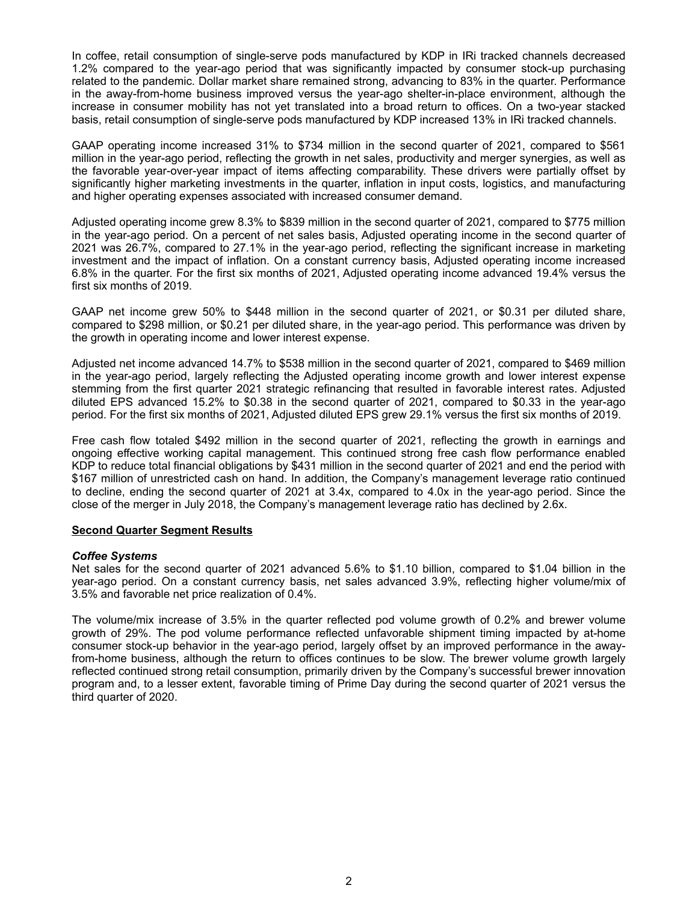In coffee, retail consumption of single-serve pods manufactured by KDP in IRi tracked channels decreased 1.2% compared to the year-ago period that was significantly impacted by consumer stock-up purchasing related to the pandemic. Dollar market share remained strong, advancing to 83% in the quarter. Performance in the away-from-home business improved versus the year-ago shelter-in-place environment, although the increase in consumer mobility has not yet translated into a broad return to offices. On a two-year stacked basis, retail consumption of single-serve pods manufactured by KDP increased 13% in IRi tracked channels.

GAAP operating income increased 31% to \$734 million in the second quarter of 2021, compared to \$561 million in the year-ago period, reflecting the growth in net sales, productivity and merger synergies, as well as the favorable year-over-year impact of items affecting comparability. These drivers were partially offset by significantly higher marketing investments in the quarter, inflation in input costs, logistics, and manufacturing and higher operating expenses associated with increased consumer demand.

Adjusted operating income grew 8.3% to \$839 million in the second quarter of 2021, compared to \$775 million in the year-ago period. On a percent of net sales basis, Adjusted operating income in the second quarter of 2021 was 26.7%, compared to 27.1% in the year-ago period, reflecting the significant increase in marketing investment and the impact of inflation. On a constant currency basis, Adjusted operating income increased 6.8% in the quarter. For the first six months of 2021, Adjusted operating income advanced 19.4% versus the first six months of 2019.

GAAP net income grew 50% to \$448 million in the second quarter of 2021, or \$0.31 per diluted share, compared to \$298 million, or \$0.21 per diluted share, in the year-ago period. This performance was driven by the growth in operating income and lower interest expense.

Adjusted net income advanced 14.7% to \$538 million in the second quarter of 2021, compared to \$469 million in the year-ago period, largely reflecting the Adjusted operating income growth and lower interest expense stemming from the first quarter 2021 strategic refinancing that resulted in favorable interest rates. Adjusted diluted EPS advanced 15.2% to \$0.38 in the second quarter of 2021, compared to \$0.33 in the year-ago period. For the first six months of 2021, Adjusted diluted EPS grew 29.1% versus the first six months of 2019.

Free cash flow totaled \$492 million in the second quarter of 2021, reflecting the growth in earnings and ongoing effective working capital management. This continued strong free cash flow performance enabled KDP to reduce total financial obligations by \$431 million in the second quarter of 2021 and end the period with \$167 million of unrestricted cash on hand. In addition, the Company's management leverage ratio continued to decline, ending the second quarter of 2021 at 3.4x, compared to 4.0x in the year-ago period. Since the close of the merger in July 2018, the Company's management leverage ratio has declined by 2.6x.

#### **Second Quarter Segment Results**

#### *Coffee Systems*

Net sales for the second quarter of 2021 advanced 5.6% to \$1.10 billion, compared to \$1.04 billion in the year-ago period. On a constant currency basis, net sales advanced 3.9%, reflecting higher volume/mix of 3.5% and favorable net price realization of 0.4%.

The volume/mix increase of 3.5% in the quarter reflected pod volume growth of 0.2% and brewer volume growth of 29%. The pod volume performance reflected unfavorable shipment timing impacted by at-home consumer stock-up behavior in the year-ago period, largely offset by an improved performance in the awayfrom-home business, although the return to offices continues to be slow. The brewer volume growth largely reflected continued strong retail consumption, primarily driven by the Company's successful brewer innovation program and, to a lesser extent, favorable timing of Prime Day during the second quarter of 2021 versus the third quarter of 2020.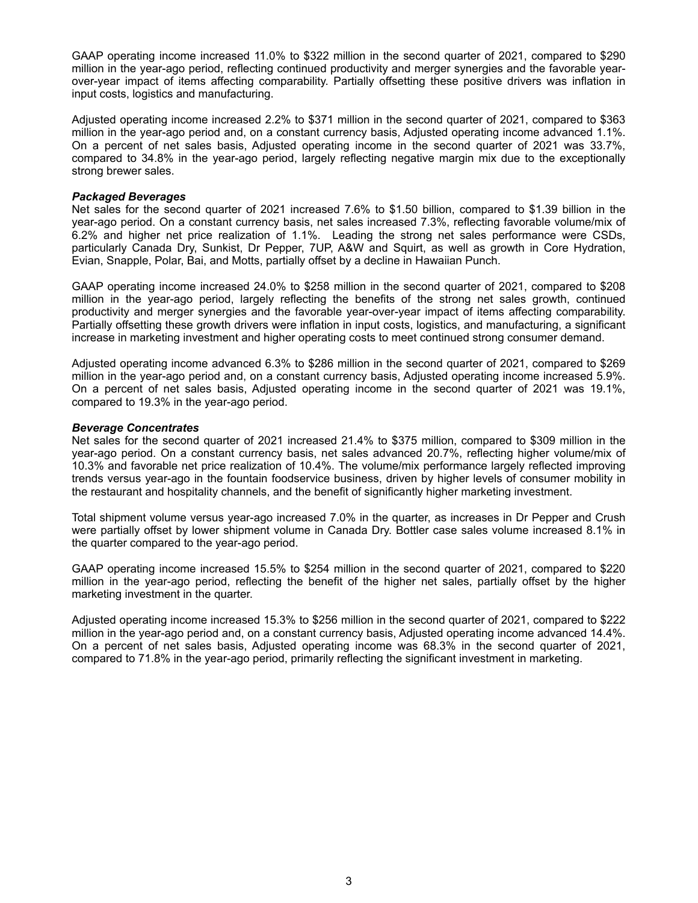GAAP operating income increased 11.0% to \$322 million in the second quarter of 2021, compared to \$290 million in the year-ago period, reflecting continued productivity and merger synergies and the favorable yearover-year impact of items affecting comparability. Partially offsetting these positive drivers was inflation in input costs, logistics and manufacturing.

Adjusted operating income increased 2.2% to \$371 million in the second quarter of 2021, compared to \$363 million in the year-ago period and, on a constant currency basis, Adjusted operating income advanced 1.1%. On a percent of net sales basis, Adjusted operating income in the second quarter of 2021 was 33.7%, compared to 34.8% in the year-ago period, largely reflecting negative margin mix due to the exceptionally strong brewer sales.

#### *Packaged Beverages*

Net sales for the second quarter of 2021 increased 7.6% to \$1.50 billion, compared to \$1.39 billion in the year-ago period. On a constant currency basis, net sales increased 7.3%, reflecting favorable volume/mix of 6.2% and higher net price realization of 1.1%. Leading the strong net sales performance were CSDs, particularly Canada Dry, Sunkist, Dr Pepper, 7UP, A&W and Squirt, as well as growth in Core Hydration, Evian, Snapple, Polar, Bai, and Motts, partially offset by a decline in Hawaiian Punch.

GAAP operating income increased 24.0% to \$258 million in the second quarter of 2021, compared to \$208 million in the year-ago period, largely reflecting the benefits of the strong net sales growth, continued productivity and merger synergies and the favorable year-over-year impact of items affecting comparability. Partially offsetting these growth drivers were inflation in input costs, logistics, and manufacturing, a significant increase in marketing investment and higher operating costs to meet continued strong consumer demand.

Adjusted operating income advanced 6.3% to \$286 million in the second quarter of 2021, compared to \$269 million in the year-ago period and, on a constant currency basis, Adjusted operating income increased 5.9%. On a percent of net sales basis, Adjusted operating income in the second quarter of 2021 was 19.1%, compared to 19.3% in the year-ago period.

#### *Beverage Concentrates*

Net sales for the second quarter of 2021 increased 21.4% to \$375 million, compared to \$309 million in the year-ago period. On a constant currency basis, net sales advanced 20.7%, reflecting higher volume/mix of 10.3% and favorable net price realization of 10.4%. The volume/mix performance largely reflected improving trends versus year-ago in the fountain foodservice business, driven by higher levels of consumer mobility in the restaurant and hospitality channels, and the benefit of significantly higher marketing investment.

Total shipment volume versus year-ago increased 7.0% in the quarter, as increases in Dr Pepper and Crush were partially offset by lower shipment volume in Canada Dry. Bottler case sales volume increased 8.1% in the quarter compared to the year-ago period.

GAAP operating income increased 15.5% to \$254 million in the second quarter of 2021, compared to \$220 million in the year-ago period, reflecting the benefit of the higher net sales, partially offset by the higher marketing investment in the quarter.

Adjusted operating income increased 15.3% to \$256 million in the second quarter of 2021, compared to \$222 million in the year-ago period and, on a constant currency basis, Adjusted operating income advanced 14.4%. On a percent of net sales basis, Adjusted operating income was 68.3% in the second quarter of 2021, compared to 71.8% in the year-ago period, primarily reflecting the significant investment in marketing.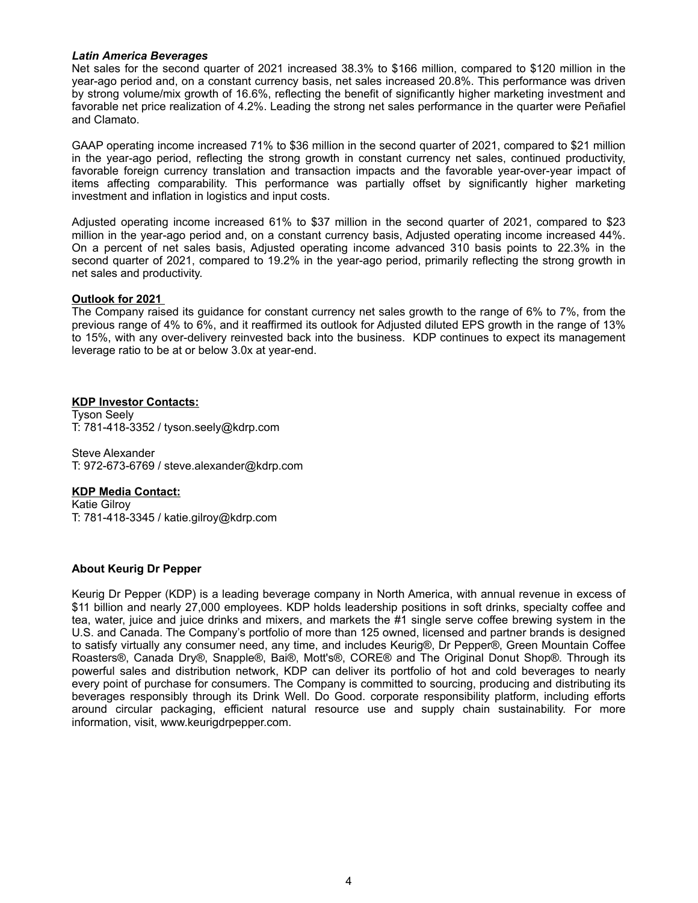#### *Latin America Beverages*

Net sales for the second quarter of 2021 increased 38.3% to \$166 million, compared to \$120 million in the year-ago period and, on a constant currency basis, net sales increased 20.8%. This performance was driven by strong volume/mix growth of 16.6%, reflecting the benefit of significantly higher marketing investment and favorable net price realization of 4.2%. Leading the strong net sales performance in the quarter were Peñafiel and Clamato.

GAAP operating income increased 71% to \$36 million in the second quarter of 2021, compared to \$21 million in the year-ago period, reflecting the strong growth in constant currency net sales, continued productivity, favorable foreign currency translation and transaction impacts and the favorable year-over-year impact of items affecting comparability. This performance was partially offset by significantly higher marketing investment and inflation in logistics and input costs.

Adjusted operating income increased 61% to \$37 million in the second quarter of 2021, compared to \$23 million in the year-ago period and, on a constant currency basis, Adjusted operating income increased 44%. On a percent of net sales basis, Adjusted operating income advanced 310 basis points to 22.3% in the second quarter of 2021, compared to 19.2% in the year-ago period, primarily reflecting the strong growth in net sales and productivity.

#### **Outlook for 2021**

The Company raised its guidance for constant currency net sales growth to the range of 6% to 7%, from the previous range of 4% to 6%, and it reaffirmed its outlook for Adjusted diluted EPS growth in the range of 13% to 15%, with any over-delivery reinvested back into the business. KDP continues to expect its management leverage ratio to be at or below 3.0x at year-end.

#### **KDP Investor Contacts:**

Tyson Seely T: 781-418-3352 / tyson.seely@kdrp.com

Steve Alexander T: 972-673-6769 / steve.alexander@kdrp.com

#### **KDP Media Contact:**

Katie Gilroy T: 781-418-3345 / katie.gilroy@kdrp.com

#### **About Keurig Dr Pepper**

Keurig Dr Pepper (KDP) is a leading beverage company in North America, with annual revenue in excess of \$11 billion and nearly 27,000 employees. KDP holds leadership positions in soft drinks, specialty coffee and tea, water, juice and juice drinks and mixers, and markets the #1 single serve coffee brewing system in the U.S. and Canada. The Company's portfolio of more than 125 owned, licensed and partner brands is designed to satisfy virtually any consumer need, any time, and includes Keurig®, Dr Pepper®, Green Mountain Coffee Roasters®, Canada Dry®, Snapple®, Bai®, Mott's®, CORE® and The Original Donut Shop®. Through its powerful sales and distribution network, KDP can deliver its portfolio of hot and cold beverages to nearly every point of purchase for consumers. The Company is committed to sourcing, producing and distributing its beverages responsibly through its Drink Well. Do Good. corporate responsibility platform, including efforts around circular packaging, efficient natural resource use and supply chain sustainability. For more information, visit, www.keurigdrpepper.com.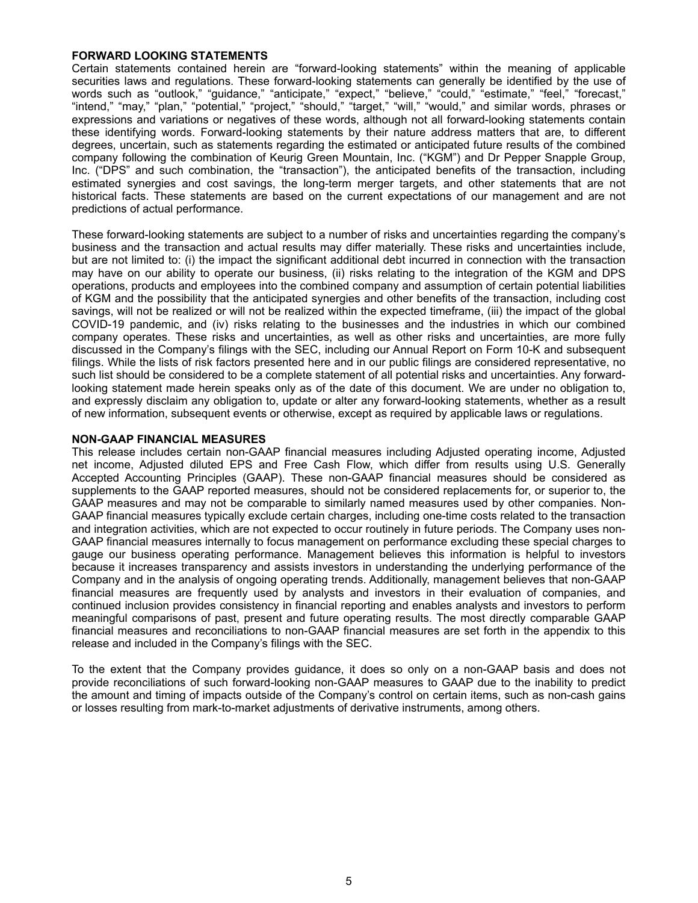#### **FORWARD LOOKING STATEMENTS**

Certain statements contained herein are "forward-looking statements" within the meaning of applicable securities laws and regulations. These forward-looking statements can generally be identified by the use of words such as "outlook," "guidance," "anticipate," "expect," "believe," "could," "estimate," "feel," "forecast," "intend," "may," "plan," "potential," "project," "should," "target," "will," "would," and similar words, phrases or expressions and variations or negatives of these words, although not all forward-looking statements contain these identifying words. Forward-looking statements by their nature address matters that are, to different degrees, uncertain, such as statements regarding the estimated or anticipated future results of the combined company following the combination of Keurig Green Mountain, Inc. ("KGM") and Dr Pepper Snapple Group, Inc. ("DPS" and such combination, the "transaction"), the anticipated benefits of the transaction, including estimated synergies and cost savings, the long-term merger targets, and other statements that are not historical facts. These statements are based on the current expectations of our management and are not predictions of actual performance.

These forward-looking statements are subject to a number of risks and uncertainties regarding the company's business and the transaction and actual results may differ materially. These risks and uncertainties include, but are not limited to: (i) the impact the significant additional debt incurred in connection with the transaction may have on our ability to operate our business, (ii) risks relating to the integration of the KGM and DPS operations, products and employees into the combined company and assumption of certain potential liabilities of KGM and the possibility that the anticipated synergies and other benefits of the transaction, including cost savings, will not be realized or will not be realized within the expected timeframe, (iii) the impact of the global COVID-19 pandemic, and (iv) risks relating to the businesses and the industries in which our combined company operates. These risks and uncertainties, as well as other risks and uncertainties, are more fully discussed in the Company's filings with the SEC, including our Annual Report on Form 10-K and subsequent filings. While the lists of risk factors presented here and in our public filings are considered representative, no such list should be considered to be a complete statement of all potential risks and uncertainties. Any forwardlooking statement made herein speaks only as of the date of this document. We are under no obligation to, and expressly disclaim any obligation to, update or alter any forward-looking statements, whether as a result of new information, subsequent events or otherwise, except as required by applicable laws or regulations.

#### **NON-GAAP FINANCIAL MEASURES**

This release includes certain non-GAAP financial measures including Adjusted operating income, Adjusted net income, Adjusted diluted EPS and Free Cash Flow, which differ from results using U.S. Generally Accepted Accounting Principles (GAAP). These non-GAAP financial measures should be considered as supplements to the GAAP reported measures, should not be considered replacements for, or superior to, the GAAP measures and may not be comparable to similarly named measures used by other companies. Non-GAAP financial measures typically exclude certain charges, including one-time costs related to the transaction and integration activities, which are not expected to occur routinely in future periods. The Company uses non-GAAP financial measures internally to focus management on performance excluding these special charges to gauge our business operating performance. Management believes this information is helpful to investors because it increases transparency and assists investors in understanding the underlying performance of the Company and in the analysis of ongoing operating trends. Additionally, management believes that non-GAAP financial measures are frequently used by analysts and investors in their evaluation of companies, and continued inclusion provides consistency in financial reporting and enables analysts and investors to perform meaningful comparisons of past, present and future operating results. The most directly comparable GAAP financial measures and reconciliations to non-GAAP financial measures are set forth in the appendix to this release and included in the Company's filings with the SEC.

To the extent that the Company provides guidance, it does so only on a non-GAAP basis and does not provide reconciliations of such forward-looking non-GAAP measures to GAAP due to the inability to predict the amount and timing of impacts outside of the Company's control on certain items, such as non-cash gains or losses resulting from mark-to-market adjustments of derivative instruments, among others.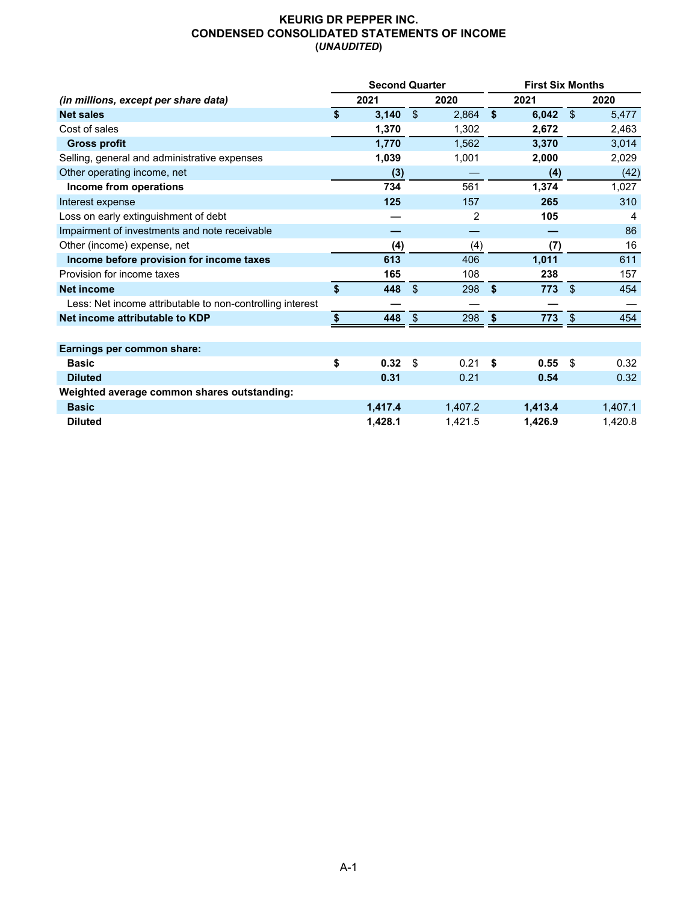# **KEURIG DR PEPPER INC. CONDENSED CONSOLIDATED STATEMENTS OF INCOME (***UNAUDITED***)**

|                                                           | <b>Second Quarter</b> |               |         | <b>First Six Months</b> |         |                |         |  |  |
|-----------------------------------------------------------|-----------------------|---------------|---------|-------------------------|---------|----------------|---------|--|--|
| (in millions, except per share data)                      | 2021                  |               | 2020    |                         | 2021    |                | 2020    |  |  |
| <b>Net sales</b>                                          | \$<br>3,140           | $\sqrt{3}$    | 2,864   | \$                      | 6,042   | $\sqrt[6]{3}$  | 5,477   |  |  |
| Cost of sales                                             | 1,370                 |               | 1,302   |                         | 2.672   |                | 2,463   |  |  |
| <b>Gross profit</b>                                       | 1,770                 |               | 1,562   |                         | 3,370   |                | 3,014   |  |  |
| Selling, general and administrative expenses              | 1,039                 |               | 1,001   |                         | 2,000   |                | 2,029   |  |  |
| Other operating income, net                               | (3)                   |               |         |                         | (4)     |                | (42)    |  |  |
| Income from operations                                    | 734                   |               | 561     |                         | 1,374   |                | 1,027   |  |  |
| Interest expense                                          | 125                   |               | 157     |                         | 265     |                | 310     |  |  |
| Loss on early extinguishment of debt                      |                       |               | 2       |                         | 105     |                | 4       |  |  |
| Impairment of investments and note receivable             |                       |               |         |                         |         |                | 86      |  |  |
| Other (income) expense, net                               | (4)                   |               | (4)     |                         | (7)     |                | 16      |  |  |
| Income before provision for income taxes                  | 613                   |               | 406     |                         | 1,011   |                | 611     |  |  |
| Provision for income taxes                                | 165                   |               | 108     |                         | 238     |                | 157     |  |  |
| <b>Net income</b>                                         | \$<br>448             | $\mathcal{L}$ | 298     | \$                      | 773     | $\mathfrak{L}$ | 454     |  |  |
| Less: Net income attributable to non-controlling interest |                       |               |         |                         |         |                |         |  |  |
| Net income attributable to KDP                            | \$<br>448             | $\sqrt[6]{3}$ | 298     | \$                      | 773     | $\mathfrak{S}$ | 454     |  |  |
|                                                           |                       |               |         |                         |         |                |         |  |  |
| Earnings per common share:                                |                       |               |         |                         |         |                |         |  |  |
| <b>Basic</b>                                              | \$<br>0.32            | \$            | 0.21    | \$                      | 0.55    | $\mathfrak{L}$ | 0.32    |  |  |
| <b>Diluted</b>                                            | 0.31                  |               | 0.21    |                         | 0.54    |                | 0.32    |  |  |
| Weighted average common shares outstanding:               |                       |               |         |                         |         |                |         |  |  |
| <b>Basic</b>                                              | 1,417.4               |               | 1,407.2 |                         | 1,413.4 |                | 1,407.1 |  |  |
| <b>Diluted</b>                                            | 1,428.1               |               | 1,421.5 |                         | 1,426.9 |                | 1,420.8 |  |  |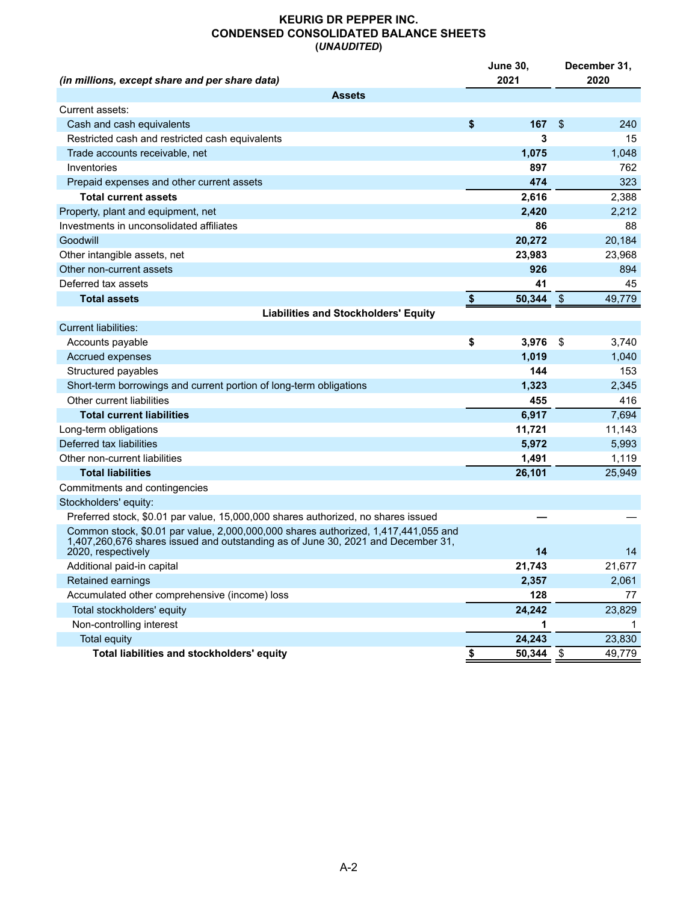## **KEURIG DR PEPPER INC. CONDENSED CONSOLIDATED BALANCE SHEETS (***UNAUDITED***)**

|                                                                                                                                                                                              | <b>June 30,</b> | December 31,  |        |  |  |
|----------------------------------------------------------------------------------------------------------------------------------------------------------------------------------------------|-----------------|---------------|--------|--|--|
| (in millions, except share and per share data)                                                                                                                                               | 2021            |               | 2020   |  |  |
| Assets                                                                                                                                                                                       |                 |               |        |  |  |
| Current assets:                                                                                                                                                                              |                 |               |        |  |  |
| Cash and cash equivalents                                                                                                                                                                    | \$<br>167       | \$            | 240    |  |  |
| Restricted cash and restricted cash equivalents                                                                                                                                              | 3               |               | 15     |  |  |
| Trade accounts receivable, net                                                                                                                                                               | 1,075           |               | 1,048  |  |  |
| Inventories                                                                                                                                                                                  | 897             |               | 762    |  |  |
| Prepaid expenses and other current assets                                                                                                                                                    | 474             |               | 323    |  |  |
| <b>Total current assets</b>                                                                                                                                                                  | 2,616           |               | 2,388  |  |  |
| Property, plant and equipment, net                                                                                                                                                           | 2,420           |               | 2,212  |  |  |
| Investments in unconsolidated affiliates                                                                                                                                                     | 86              |               | 88     |  |  |
| Goodwill                                                                                                                                                                                     | 20,272          |               | 20,184 |  |  |
| Other intangible assets, net                                                                                                                                                                 | 23,983          |               | 23,968 |  |  |
| Other non-current assets                                                                                                                                                                     | 926             |               | 894    |  |  |
| Deferred tax assets                                                                                                                                                                          | 41              |               | 45     |  |  |
| <b>Total assets</b>                                                                                                                                                                          | \$<br>50,344    | $\frac{1}{2}$ | 49,779 |  |  |
| <b>Liabilities and Stockholders' Equity</b>                                                                                                                                                  |                 |               |        |  |  |
| <b>Current liabilities:</b>                                                                                                                                                                  |                 |               |        |  |  |
| Accounts payable                                                                                                                                                                             | \$<br>3,976     | -\$           | 3,740  |  |  |
| Accrued expenses                                                                                                                                                                             | 1,019           |               | 1,040  |  |  |
| Structured payables                                                                                                                                                                          | 144             |               | 153    |  |  |
| Short-term borrowings and current portion of long-term obligations                                                                                                                           | 1,323           |               | 2,345  |  |  |
| Other current liabilities                                                                                                                                                                    | 455             |               | 416    |  |  |
| <b>Total current liabilities</b>                                                                                                                                                             | 6,917           |               | 7,694  |  |  |
| Long-term obligations                                                                                                                                                                        | 11,721          |               | 11,143 |  |  |
| Deferred tax liabilities                                                                                                                                                                     | 5,972           |               | 5,993  |  |  |
| Other non-current liabilities                                                                                                                                                                | 1,491           |               | 1,119  |  |  |
| <b>Total liabilities</b>                                                                                                                                                                     | 26,101          |               | 25,949 |  |  |
| Commitments and contingencies                                                                                                                                                                |                 |               |        |  |  |
| Stockholders' equity:                                                                                                                                                                        |                 |               |        |  |  |
| Preferred stock, \$0.01 par value, 15,000,000 shares authorized, no shares issued                                                                                                            |                 |               |        |  |  |
| Common stock, \$0.01 par value, 2,000,000,000 shares authorized, 1,417,441,055 and<br>1,407,260,676 shares issued and outstanding as of June 30, 2021 and December 31,<br>2020, respectively | 14              |               | 14     |  |  |
| Additional paid-in capital                                                                                                                                                                   | 21,743          |               | 21,677 |  |  |
| <b>Retained earnings</b>                                                                                                                                                                     | 2,357           |               | 2,061  |  |  |
| Accumulated other comprehensive (income) loss                                                                                                                                                | 128             |               | 77     |  |  |
| Total stockholders' equity                                                                                                                                                                   | 24,242          |               | 23,829 |  |  |
| Non-controlling interest                                                                                                                                                                     | 1               |               |        |  |  |
| <b>Total equity</b>                                                                                                                                                                          | 24,243          |               | 23,830 |  |  |
| Total liabilities and stockholders' equity                                                                                                                                                   | \$<br>50,344    | $\sqrt{3}$    | 49,779 |  |  |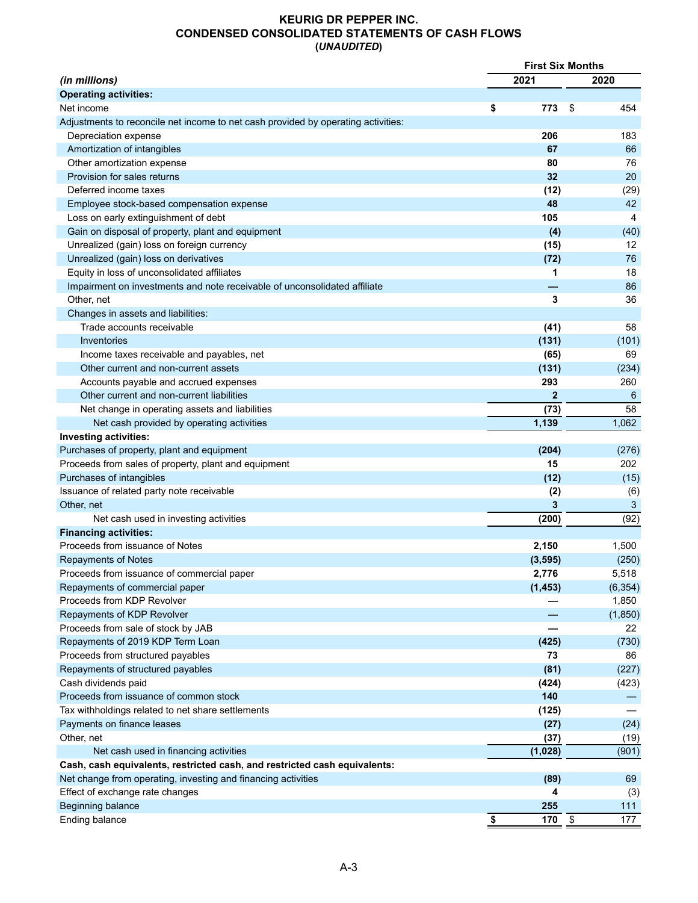## **KEURIG DR PEPPER INC. CONDENSED CONSOLIDATED STATEMENTS OF CASH FLOWS (***UNAUDITED***)**

|                                                                                   | <b>First Six Months</b> |           |
|-----------------------------------------------------------------------------------|-------------------------|-----------|
| (in millions)                                                                     | 2021                    | 2020      |
| <b>Operating activities:</b>                                                      |                         |           |
| Net income                                                                        | 773<br>\$               | 454<br>S  |
| Adjustments to reconcile net income to net cash provided by operating activities: |                         |           |
| Depreciation expense                                                              | 206                     | 183       |
| Amortization of intangibles                                                       | 67                      | 66        |
| Other amortization expense                                                        | 80                      | 76        |
| Provision for sales returns                                                       | 32                      | 20        |
| Deferred income taxes                                                             | (12)                    | (29)      |
| Employee stock-based compensation expense                                         | 48                      | 42        |
| Loss on early extinguishment of debt                                              | 105                     | 4         |
| Gain on disposal of property, plant and equipment                                 | (4)                     | (40)      |
| Unrealized (gain) loss on foreign currency                                        | (15)                    | 12        |
| Unrealized (gain) loss on derivatives                                             | (72)                    | 76        |
| Equity in loss of unconsolidated affiliates                                       | 1                       | 18        |
| Impairment on investments and note receivable of unconsolidated affiliate         |                         | 86        |
| Other, net                                                                        | 3                       | 36        |
| Changes in assets and liabilities:                                                |                         |           |
| Trade accounts receivable                                                         | (41)                    | 58        |
| Inventories                                                                       | (131)                   | (101)     |
| Income taxes receivable and payables, net                                         | (65)                    | 69        |
| Other current and non-current assets                                              | (131)                   | (234)     |
| Accounts payable and accrued expenses                                             | 293                     | 260       |
| Other current and non-current liabilities                                         | $\overline{2}$          | 6         |
| Net change in operating assets and liabilities                                    | (73)                    | 58        |
| Net cash provided by operating activities                                         | 1,139                   | 1,062     |
| <b>Investing activities:</b>                                                      |                         |           |
| Purchases of property, plant and equipment                                        | (204)                   | (276)     |
| Proceeds from sales of property, plant and equipment                              | 15                      | 202       |
| Purchases of intangibles                                                          | (12)                    | (15)      |
| Issuance of related party note receivable                                         | (2)                     | (6)       |
| Other, net                                                                        | 3                       | 3         |
|                                                                                   | (200)                   | (92)      |
| Net cash used in investing activities                                             |                         |           |
| <b>Financing activities:</b><br>Proceeds from issuance of Notes                   |                         |           |
|                                                                                   | 2,150                   | 1,500     |
| <b>Repayments of Notes</b>                                                        | (3, 595)                | (250)     |
| Proceeds from issuance of commercial paper                                        | 2,776                   | 5,518     |
| Repayments of commercial paper                                                    | (1, 453)                | (6, 354)  |
| Proceeds from KDP Revolver                                                        |                         | 1,850     |
| Repayments of KDP Revolver                                                        |                         | (1,850)   |
| Proceeds from sale of stock by JAB                                                |                         | 22        |
| Repayments of 2019 KDP Term Loan                                                  | (425)                   | (730)     |
| Proceeds from structured payables                                                 | 73                      | 86        |
| Repayments of structured payables                                                 | (81)                    | (227)     |
| Cash dividends paid                                                               | (424)                   | (423)     |
| Proceeds from issuance of common stock                                            | 140                     |           |
| Tax withholdings related to net share settlements                                 | (125)                   |           |
| Payments on finance leases                                                        | (27)                    | (24)      |
| Other, net                                                                        | (37)                    | (19)      |
| Net cash used in financing activities                                             | (1,028)                 | (901)     |
| Cash, cash equivalents, restricted cash, and restricted cash equivalents:         |                         |           |
| Net change from operating, investing and financing activities                     | (89)                    | 69        |
| Effect of exchange rate changes                                                   | 4                       | (3)       |
| Beginning balance                                                                 | 255                     | 111       |
| Ending balance                                                                    | $\overline{\$}$<br>170  | \$<br>177 |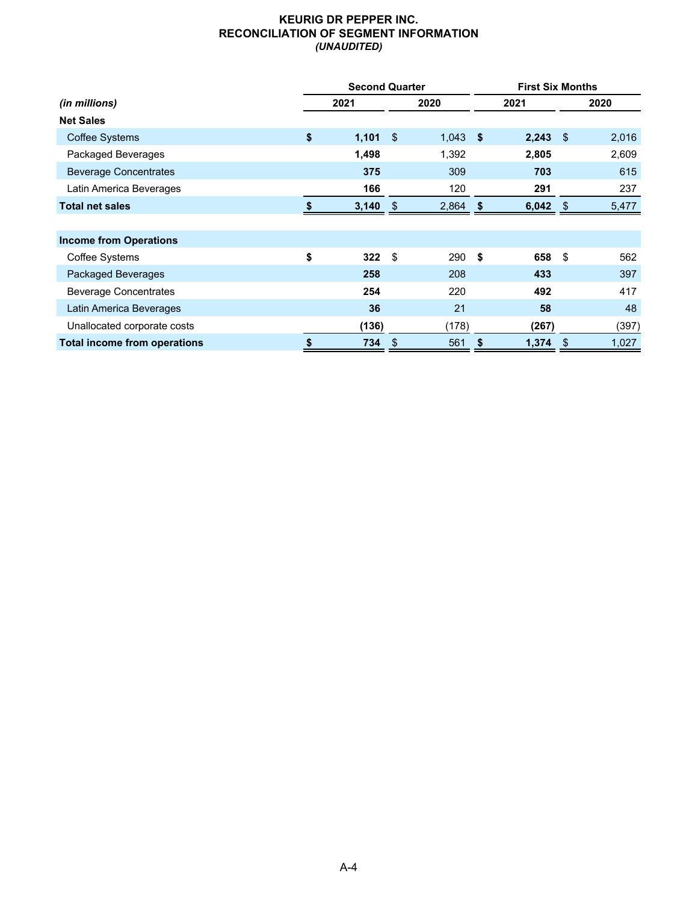## **KEURIG DR PEPPER INC. RECONCILIATION OF SEGMENT INFORMATION** *(UNAUDITED)*

|                                     | <b>Second Quarter</b> |     |            |     |       | <b>First Six Months</b> |       |  |
|-------------------------------------|-----------------------|-----|------------|-----|-------|-------------------------|-------|--|
| (in millions)                       | 2021                  |     | 2020       |     | 2021  | 2020                    |       |  |
| <b>Net Sales</b>                    |                       |     |            |     |       |                         |       |  |
| <b>Coffee Systems</b>               | \$<br>$1,101$ \$      |     | $1,043$ \$ |     | 2,243 | -\$                     | 2,016 |  |
| Packaged Beverages                  | 1,498                 |     | 1,392      |     | 2,805 |                         | 2,609 |  |
| <b>Beverage Concentrates</b>        | 375                   |     | 309        |     | 703   |                         | 615   |  |
| Latin America Beverages             | 166                   |     | 120        |     | 291   |                         | 237   |  |
| <b>Total net sales</b>              | 3,140                 | -\$ | 2,864      | \$  | 6,042 | \$                      | 5,477 |  |
|                                     |                       |     |            |     |       |                         |       |  |
| <b>Income from Operations</b>       |                       |     |            |     |       |                         |       |  |
| Coffee Systems                      | \$<br>322             | \$  | 290        | -\$ | 658   | \$                      | 562   |  |
| Packaged Beverages                  | 258                   |     | 208        |     | 433   |                         | 397   |  |
| <b>Beverage Concentrates</b>        | 254                   |     | 220        |     | 492   |                         | 417   |  |
| Latin America Beverages             | 36                    |     | 21         |     | 58    |                         | 48    |  |
| Unallocated corporate costs         | (136)                 |     | (178)      |     | (267) |                         | (397) |  |
| <b>Total income from operations</b> | \$<br>734             | \$  | 561        | \$  | 1,374 | \$                      | 1,027 |  |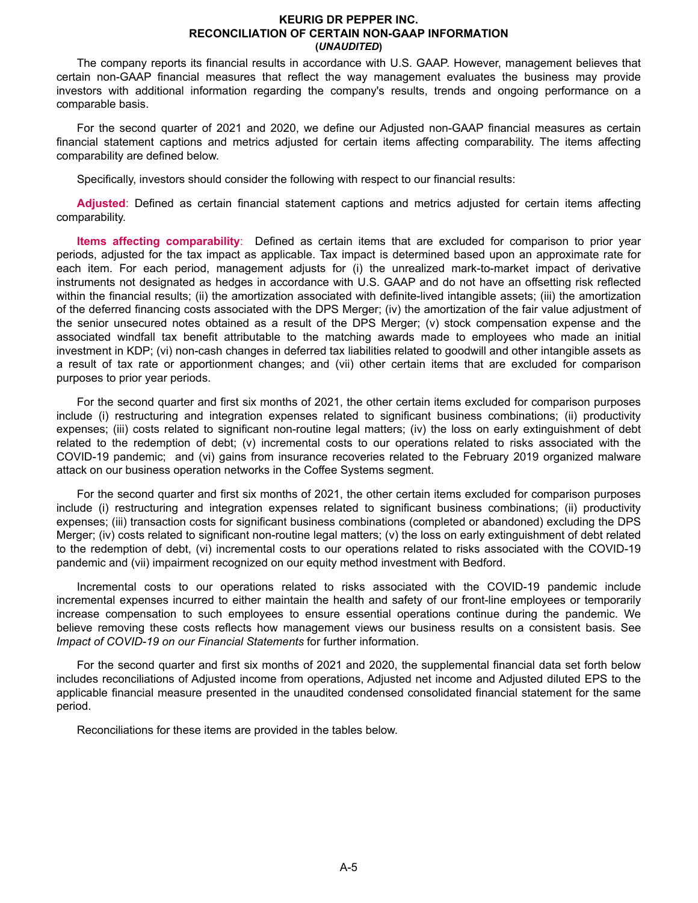#### **KEURIG DR PEPPER INC. RECONCILIATION OF CERTAIN NON-GAAP INFORMATION (***UNAUDITED***)**

The company reports its financial results in accordance with U.S. GAAP. However, management believes that certain non-GAAP financial measures that reflect the way management evaluates the business may provide investors with additional information regarding the company's results, trends and ongoing performance on a comparable basis.

For the second quarter of 2021 and 2020, we define our Adjusted non-GAAP financial measures as certain financial statement captions and metrics adjusted for certain items affecting comparability. The items affecting comparability are defined below.

Specifically, investors should consider the following with respect to our financial results:

**Adjusted**: Defined as certain financial statement captions and metrics adjusted for certain items affecting comparability.

**Items affecting comparability**: Defined as certain items that are excluded for comparison to prior year periods, adjusted for the tax impact as applicable. Tax impact is determined based upon an approximate rate for each item. For each period, management adjusts for (i) the unrealized mark-to-market impact of derivative instruments not designated as hedges in accordance with U.S. GAAP and do not have an offsetting risk reflected within the financial results; (ii) the amortization associated with definite-lived intangible assets; (iii) the amortization of the deferred financing costs associated with the DPS Merger; (iv) the amortization of the fair value adjustment of the senior unsecured notes obtained as a result of the DPS Merger; (v) stock compensation expense and the associated windfall tax benefit attributable to the matching awards made to employees who made an initial investment in KDP; (vi) non-cash changes in deferred tax liabilities related to goodwill and other intangible assets as a result of tax rate or apportionment changes; and (vii) other certain items that are excluded for comparison purposes to prior year periods.

For the second quarter and first six months of 2021, the other certain items excluded for comparison purposes include (i) restructuring and integration expenses related to significant business combinations; (ii) productivity expenses; (iii) costs related to significant non-routine legal matters; (iv) the loss on early extinguishment of debt related to the redemption of debt; (v) incremental costs to our operations related to risks associated with the COVID-19 pandemic; and (vi) gains from insurance recoveries related to the February 2019 organized malware attack on our business operation networks in the Coffee Systems segment.

For the second quarter and first six months of 2021, the other certain items excluded for comparison purposes include (i) restructuring and integration expenses related to significant business combinations; (ii) productivity expenses; (iii) transaction costs for significant business combinations (completed or abandoned) excluding the DPS Merger; (iv) costs related to significant non-routine legal matters; (v) the loss on early extinguishment of debt related to the redemption of debt, (vi) incremental costs to our operations related to risks associated with the COVID-19 pandemic and (vii) impairment recognized on our equity method investment with Bedford.

Incremental costs to our operations related to risks associated with the COVID-19 pandemic include incremental expenses incurred to either maintain the health and safety of our front-line employees or temporarily increase compensation to such employees to ensure essential operations continue during the pandemic. We believe removing these costs reflects how management views our business results on a consistent basis. See *Impact of COVID-19 on our Financial Statements* for further information.

For the second quarter and first six months of 2021 and 2020, the supplemental financial data set forth below includes reconciliations of Adjusted income from operations, Adjusted net income and Adjusted diluted EPS to the applicable financial measure presented in the unaudited condensed consolidated financial statement for the same period.

Reconciliations for these items are provided in the tables below.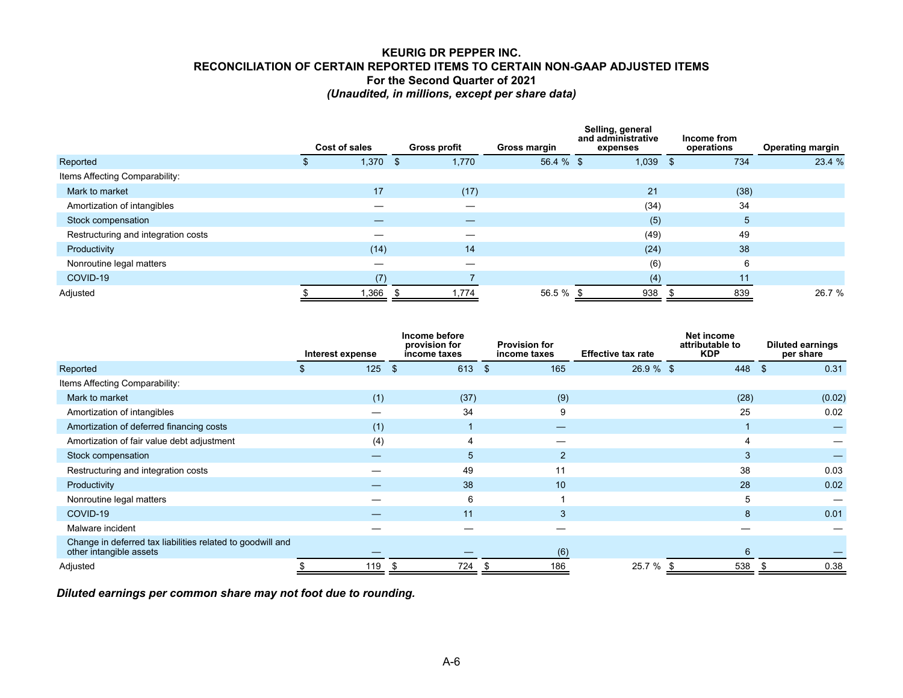## **KEURIG DR PEPPER INC. RECONCILIATION OF CERTAIN REPORTED ITEMS TO CERTAIN NON-GAAP ADJUSTED ITEMS For the Second Quarter of 2021** *(Unaudited, in millions, except per share data)*

|                                     | Cost of sales | <b>Gross profit</b> |       | Gross margin | Selling, general<br>and administrative<br>expenses | Income from<br>operations | <b>Operating margin</b> |
|-------------------------------------|---------------|---------------------|-------|--------------|----------------------------------------------------|---------------------------|-------------------------|
| Reported                            | 1,370         | \$                  | 1,770 | 56.4 % \$    | 1,039                                              | 734<br>-\$                | 23.4 %                  |
| Items Affecting Comparability:      |               |                     |       |              |                                                    |                           |                         |
| Mark to market                      | 17            |                     | (17)  |              | 21                                                 | (38)                      |                         |
| Amortization of intangibles         |               |                     |       |              | (34)                                               | 34                        |                         |
| Stock compensation                  |               |                     |       |              | (5)                                                | 5                         |                         |
| Restructuring and integration costs |               |                     |       |              | (49)                                               | 49                        |                         |
| Productivity                        | (14)          |                     | 14    |              | (24)                                               | 38                        |                         |
| Nonroutine legal matters            |               |                     |       |              | (6)                                                | 6                         |                         |
| COVID-19                            | (7)           |                     |       |              | (4)                                                | 11                        |                         |
| Adjusted                            | ,366          |                     | 1,774 | 56.5 %       | 938                                                | 839                       | 26.7 %                  |
|                                     |               |                     |       |              |                                                    |                           |                         |

|                                                                                       | Interest expense | Income before<br>provision for<br>income taxes | <b>Provision for</b><br>income taxes | <b>Effective tax rate</b> | Net income<br>attributable to<br><b>KDP</b> | <b>Diluted earnings</b><br>per share |  |
|---------------------------------------------------------------------------------------|------------------|------------------------------------------------|--------------------------------------|---------------------------|---------------------------------------------|--------------------------------------|--|
| Reported                                                                              | 125              | 613<br>$\sqrt{S}$                              | $\mathbf{\$}$<br>165                 | $26.9 \%$ \$              | 448 \$                                      | 0.31                                 |  |
| Items Affecting Comparability:                                                        |                  |                                                |                                      |                           |                                             |                                      |  |
| Mark to market                                                                        | (1)              | (37)                                           | (9)                                  |                           | (28)                                        | (0.02)                               |  |
| Amortization of intangibles                                                           |                  | 34                                             | 9                                    |                           | 25                                          | 0.02                                 |  |
| Amortization of deferred financing costs                                              | (1)              |                                                |                                      |                           |                                             |                                      |  |
| Amortization of fair value debt adjustment                                            | (4)              |                                                |                                      |                           |                                             |                                      |  |
| Stock compensation                                                                    |                  | 5                                              | 2                                    |                           | 3                                           |                                      |  |
| Restructuring and integration costs                                                   |                  | 49                                             | 11                                   |                           | 38                                          | 0.03                                 |  |
| Productivity                                                                          |                  | 38                                             | 10                                   |                           | 28                                          | 0.02                                 |  |
| Nonroutine legal matters                                                              |                  | 6                                              |                                      |                           | 5                                           |                                      |  |
| COVID-19                                                                              |                  | 11                                             | 3                                    |                           | 8                                           | 0.01                                 |  |
| Malware incident                                                                      |                  |                                                |                                      |                           |                                             |                                      |  |
| Change in deferred tax liabilities related to goodwill and<br>other intangible assets |                  |                                                | (6)                                  |                           | 6                                           |                                      |  |
| Adjusted                                                                              | 119              | 724                                            | 186                                  | 25.7 %                    | 538                                         | 0.38                                 |  |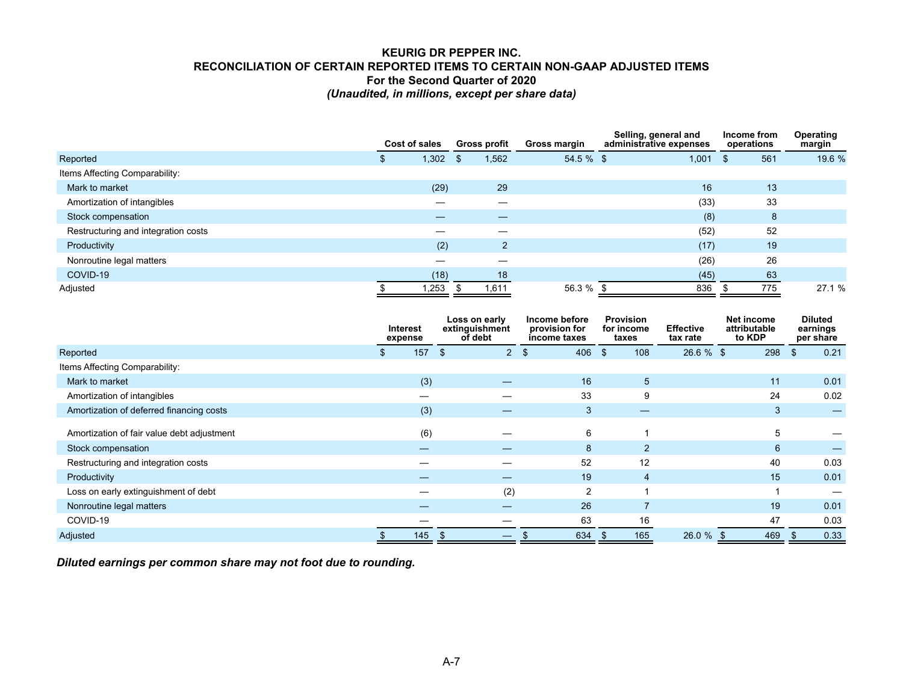# **KEURIG DR PEPPER INC. RECONCILIATION OF CERTAIN REPORTED ITEMS TO CERTAIN NON-GAAP ADJUSTED ITEMS For the Second Quarter of 2020** *(Unaudited, in millions, except per share data)*

|                                     |  | Cost of sales |   |                |              | <b>Gross profit</b> | Gross margin | Selling, general and<br>administrative expenses |     | Income from<br>operations |  | Operating<br>margin |  |
|-------------------------------------|--|---------------|---|----------------|--------------|---------------------|--------------|-------------------------------------------------|-----|---------------------------|--|---------------------|--|
| Reported                            |  | 1,302         | ъ | 1,562          | $54.5 \%$ \$ |                     | 1,001        |                                                 | 561 | 19.6 %                    |  |                     |  |
| Items Affecting Comparability:      |  |               |   |                |              |                     |              |                                                 |     |                           |  |                     |  |
| Mark to market                      |  | (29)          |   | 29             |              |                     | 16           |                                                 | 13  |                           |  |                     |  |
| Amortization of intangibles         |  |               |   |                |              |                     | (33)         |                                                 | 33  |                           |  |                     |  |
| Stock compensation                  |  |               |   |                |              |                     | (8)          |                                                 | 8   |                           |  |                     |  |
| Restructuring and integration costs |  |               |   |                |              |                     | (52)         |                                                 | 52  |                           |  |                     |  |
| Productivity                        |  | (2)           |   | $\overline{2}$ |              |                     | (17)         |                                                 | 19  |                           |  |                     |  |
| Nonroutine legal matters            |  |               |   |                |              |                     | (26)         |                                                 | 26  |                           |  |                     |  |
| COVID-19                            |  | (18)          |   | 18             |              |                     | (45)         |                                                 | 63  |                           |  |                     |  |
| Adjusted                            |  | .253          |   | 1,611          | 56.3 % \$    |                     | 836          |                                                 | 775 | 27.1 %                    |  |                     |  |

|                                            | <b>Interest</b><br>expense |     | Loss on early<br>extinguishment<br>of debt |     | Income before<br>provision for<br>income taxes |  | <b>Provision</b><br>for income<br>taxes | <b>Effective</b><br>tax rate | Net income<br>attributable<br>to KDP | <b>Diluted</b><br>earnings<br>per share |      |
|--------------------------------------------|----------------------------|-----|--------------------------------------------|-----|------------------------------------------------|--|-----------------------------------------|------------------------------|--------------------------------------|-----------------------------------------|------|
| Reported                                   | 157                        | \$  | $\overline{2}$                             | -\$ | $406 \quad $$                                  |  | 108                                     | $26.6 \%$ \$                 | 298                                  | $\mathfrak{L}$                          | 0.21 |
| Items Affecting Comparability:             |                            |     |                                            |     |                                                |  |                                         |                              |                                      |                                         |      |
| Mark to market                             | (3)                        |     |                                            |     | 16                                             |  | 5 <sup>5</sup>                          |                              | 11                                   |                                         | 0.01 |
| Amortization of intangibles                |                            |     |                                            |     | 33                                             |  | 9                                       |                              | 24                                   |                                         | 0.02 |
| Amortization of deferred financing costs   | (3)                        |     | –                                          |     | 3                                              |  |                                         |                              | 3                                    |                                         |      |
| Amortization of fair value debt adjustment | (6)                        |     |                                            |     | 6                                              |  |                                         |                              | 5                                    |                                         |      |
| Stock compensation                         |                            |     |                                            |     | 8                                              |  | $\overline{2}$                          |                              | 6                                    |                                         |      |
| Restructuring and integration costs        |                            |     |                                            |     | 52                                             |  | 12                                      |                              | 40                                   |                                         | 0.03 |
| Productivity                               |                            |     |                                            |     | 19                                             |  | 4                                       |                              | 15                                   |                                         | 0.01 |
| Loss on early extinguishment of debt       |                            |     | (2)                                        |     | $\overline{2}$                                 |  |                                         |                              | ٠                                    |                                         |      |
| Nonroutine legal matters                   |                            |     |                                            |     | 26                                             |  |                                         |                              | 19                                   |                                         | 0.01 |
| COVID-19                                   |                            |     |                                            |     | 63                                             |  | 16                                      |                              | 47                                   |                                         | 0.03 |
| Adjusted                                   | 145                        | \$. | —                                          |     | 634                                            |  | 165                                     | 26.0 %                       | 469                                  |                                         | 0.33 |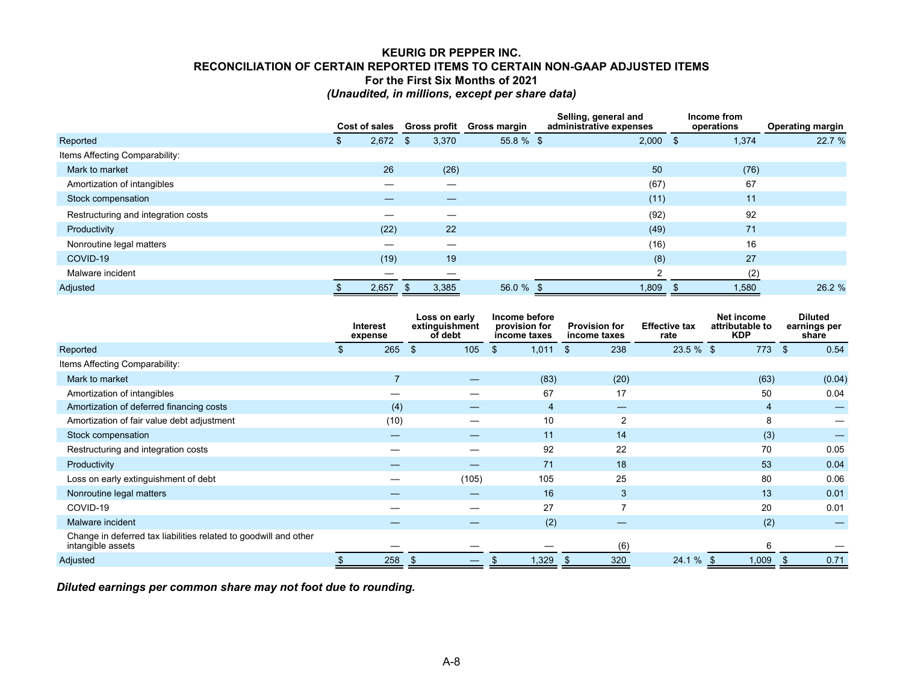# **KEURIG DR PEPPER INC. RECONCILIATION OF CERTAIN REPORTED ITEMS TO CERTAIN NON-GAAP ADJUSTED ITEMS For the First Six Months of 2021** *(Unaudited, in millions, except per share data)*

|                                     |   | Cost of sales | Gross profit |       | Gross margin | Selling, general and<br>administrative expenses |            |      | Income from<br>operations | <b>Operating margin</b> |
|-------------------------------------|---|---------------|--------------|-------|--------------|-------------------------------------------------|------------|------|---------------------------|-------------------------|
| Reported                            | Φ | 2,672         | \$           | 3,370 | $55.8 \%$ \$ |                                                 | $2,000$ \$ |      | 1,374                     | 22.7 %                  |
| Items Affecting Comparability:      |   |               |              |       |              |                                                 |            |      |                           |                         |
| Mark to market                      |   | 26            |              | (26)  |              |                                                 | 50         |      | (76)                      |                         |
| Amortization of intangibles         |   |               |              |       |              |                                                 | (67)       |      | 67                        |                         |
| Stock compensation                  |   |               |              |       |              |                                                 | (11)       |      | 11                        |                         |
| Restructuring and integration costs |   |               |              |       |              |                                                 | (92)       |      | 92                        |                         |
| Productivity                        |   | (22)          |              | 22    |              |                                                 | (49)       |      | 71                        |                         |
| Nonroutine legal matters            |   |               |              |       |              |                                                 | (16)       |      | 16                        |                         |
| COVID-19                            |   | (19)          |              | 19    |              |                                                 | (8)        |      | 27                        |                         |
| Malware incident                    |   |               |              |       |              |                                                 | C          |      | (2)                       |                         |
| Adjusted                            |   | 2,657         | \$.          | 3,385 | 56.0 %       |                                                 | 1,809      | - 35 | 1,580                     | 26.2 %                  |

|                                                                                       |    | <b>Interest</b><br>expense |                | Loss on early<br>extinguishment<br>of debt | Income before<br>provision for<br><b>Provision for</b><br>income taxes<br>income taxes<br>rate |                | <b>Effective tax</b> | Net income<br>attributable to<br><b>KDP</b> | <b>Diluted</b><br>earnings per<br>share |                        |
|---------------------------------------------------------------------------------------|----|----------------------------|----------------|--------------------------------------------|------------------------------------------------------------------------------------------------|----------------|----------------------|---------------------------------------------|-----------------------------------------|------------------------|
| Reported                                                                              | -S | 265                        | $\mathfrak{L}$ | 105                                        | \$                                                                                             | 1,011          | 238<br>\$            | $23.5 \%$ \$                                | 773                                     | $\mathfrak{S}$<br>0.54 |
| Items Affecting Comparability:                                                        |    |                            |                |                                            |                                                                                                |                |                      |                                             |                                         |                        |
| Mark to market                                                                        |    |                            |                |                                            |                                                                                                | (83)           | (20)                 |                                             | (63)                                    | (0.04)                 |
| Amortization of intangibles                                                           |    |                            |                |                                            |                                                                                                | 67             | 17                   |                                             | 50                                      | 0.04                   |
| Amortization of deferred financing costs                                              |    | (4)                        |                |                                            |                                                                                                | $\overline{4}$ | –                    |                                             | 4                                       |                        |
| Amortization of fair value debt adjustment                                            |    | (10)                       |                |                                            |                                                                                                | 10             | $\overline{2}$       |                                             | 8                                       |                        |
| Stock compensation                                                                    |    |                            |                |                                            |                                                                                                | 11             | 14                   |                                             | (3)                                     |                        |
| Restructuring and integration costs                                                   |    |                            |                |                                            |                                                                                                | 92             | 22                   |                                             | 70                                      | 0.05                   |
| Productivity                                                                          |    |                            |                |                                            |                                                                                                | 71             | 18                   |                                             | 53                                      | 0.04                   |
| Loss on early extinguishment of debt                                                  |    |                            |                | (105)                                      |                                                                                                | 105            | 25                   |                                             | 80                                      | 0.06                   |
| Nonroutine legal matters                                                              |    |                            |                |                                            |                                                                                                | 16             | 3                    |                                             | 13                                      | 0.01                   |
| COVID-19                                                                              |    |                            |                |                                            |                                                                                                | 27             |                      |                                             | 20                                      | 0.01                   |
| Malware incident                                                                      |    |                            |                |                                            |                                                                                                | (2)            |                      |                                             | (2)                                     |                        |
| Change in deferred tax liabilities related to goodwill and other<br>intangible assets |    |                            |                |                                            |                                                                                                |                | (6)                  |                                             | 6                                       |                        |
| Adjusted                                                                              |    | 258                        | \$             |                                            |                                                                                                | 1,329          | 320<br>\$.           | 24.1 %                                      | 1,009<br>-\$                            | 0.71<br>-S             |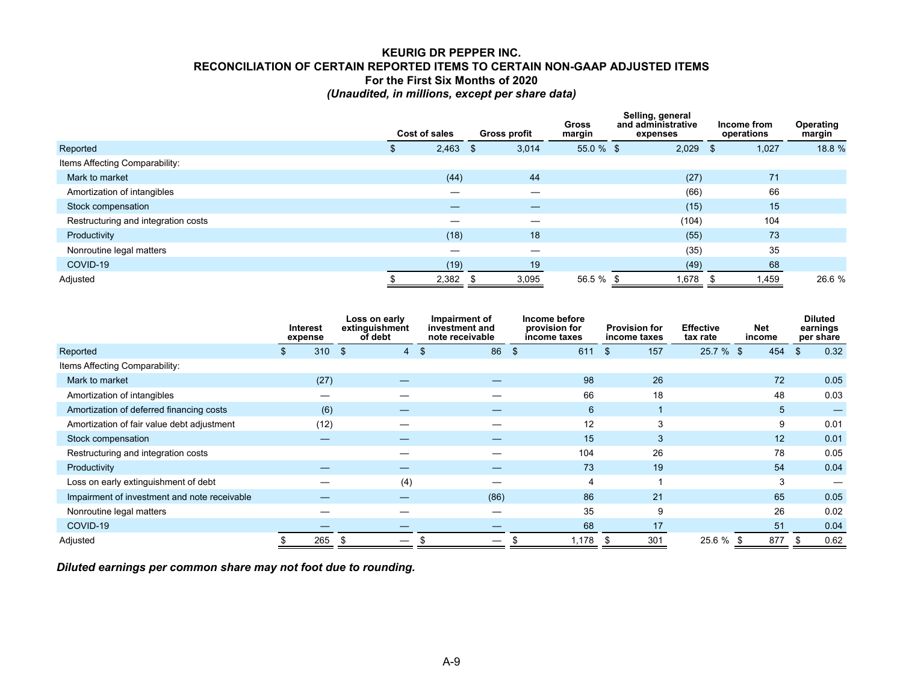# **KEURIG DR PEPPER INC. RECONCILIATION OF CERTAIN REPORTED ITEMS TO CERTAIN NON-GAAP ADJUSTED ITEMS For the First Six Months of 2020** *(Unaudited, in millions, except per share data)*

|                                     | Cost of sales     |       | <b>Gross profit</b> |       | <b>Gross</b><br>margin | Selling, general<br>and administrative<br>expenses |       | Income from<br>operations |       | Operating<br>margin |
|-------------------------------------|-------------------|-------|---------------------|-------|------------------------|----------------------------------------------------|-------|---------------------------|-------|---------------------|
| Reported                            | 2,463<br><b>J</b> |       | -S                  | 3,014 | $55.0 \%$ \$           |                                                    | 2,029 |                           | 1,027 | 18.8 %              |
| Items Affecting Comparability:      |                   |       |                     |       |                        |                                                    |       |                           |       |                     |
| Mark to market                      |                   | (44)  |                     | 44    |                        |                                                    | (27)  |                           | 71    |                     |
| Amortization of intangibles         |                   |       |                     | —     |                        |                                                    | (66)  |                           | 66    |                     |
| Stock compensation                  |                   |       |                     |       |                        |                                                    | (15)  |                           | 15    |                     |
| Restructuring and integration costs |                   |       |                     |       |                        |                                                    | (104) |                           | 104   |                     |
| Productivity                        |                   | (18)  |                     | 18    |                        |                                                    | (55)  |                           | 73    |                     |
| Nonroutine legal matters            |                   | –     |                     |       |                        |                                                    | (35)  |                           | 35    |                     |
| COVID-19                            |                   | (19)  |                     | 19    |                        |                                                    | (49)  |                           | 68    |                     |
| Adjusted                            |                   | 2,382 |                     | 3,095 | 56.5 % \$              |                                                    | 1,678 |                           | 1,459 | 26.6 %              |

|                                              | Interest<br>expense |                | Loss on early<br>extinguishment<br>of debt |     | Impairment of<br>investment and<br>note receivable |                | Income before<br>provision for<br>income taxes |     | <b>Provision for</b><br>income taxes | <b>Effective</b><br>tax rate | <b>Net</b><br>income |    |     | <b>Diluted</b><br>earnings<br>per share |
|----------------------------------------------|---------------------|----------------|--------------------------------------------|-----|----------------------------------------------------|----------------|------------------------------------------------|-----|--------------------------------------|------------------------------|----------------------|----|-----|-----------------------------------------|
| Reported                                     | 310                 | $\mathfrak{L}$ | 4                                          | -\$ | 86                                                 | $\mathfrak{s}$ | 611                                            | \$  | 157                                  | 25.7 % \$                    | 454                  |    | \$  | 0.32                                    |
| Items Affecting Comparability:               |                     |                |                                            |     |                                                    |                |                                                |     |                                      |                              |                      |    |     |                                         |
| Mark to market                               | (27)                |                |                                            |     |                                                    |                | 98                                             |     | 26                                   |                              |                      | 72 |     | 0.05                                    |
| Amortization of intangibles                  |                     |                |                                            |     |                                                    |                | 66                                             |     | 18                                   |                              |                      | 48 |     | 0.03                                    |
| Amortization of deferred financing costs     | (6)                 |                |                                            |     |                                                    |                | 6                                              |     |                                      |                              |                      | 5  |     |                                         |
| Amortization of fair value debt adjustment   | (12)                |                |                                            |     |                                                    |                | 12                                             |     |                                      |                              |                      | 9  |     | 0.01                                    |
| Stock compensation                           |                     |                |                                            |     |                                                    |                | 15                                             |     | 3                                    |                              |                      | 12 |     | 0.01                                    |
| Restructuring and integration costs          |                     |                |                                            |     |                                                    |                | 104                                            |     | 26                                   |                              |                      | 78 |     | 0.05                                    |
| Productivity                                 |                     |                |                                            |     |                                                    |                | 73                                             |     | 19                                   |                              |                      | 54 |     | 0.04                                    |
| Loss on early extinguishment of debt         |                     |                | (4)                                        |     |                                                    |                | 4                                              |     |                                      |                              |                      | 3  |     |                                         |
| Impairment of investment and note receivable |                     |                |                                            |     | (86)                                               |                | 86                                             |     | 21                                   |                              |                      | 65 |     | 0.05                                    |
| Nonroutine legal matters                     |                     |                |                                            |     |                                                    |                | 35                                             |     | 9                                    |                              |                      | 26 |     | 0.02                                    |
| COVID-19                                     |                     |                |                                            |     |                                                    |                | 68                                             |     | 17                                   |                              |                      | 51 |     | 0.04                                    |
| Adjusted                                     | 265                 | S              |                                            |     |                                                    |                | 1,178                                          | \$. | 301                                  | $25.6 \%$ \$                 | 877                  |    | \$. | 0.62                                    |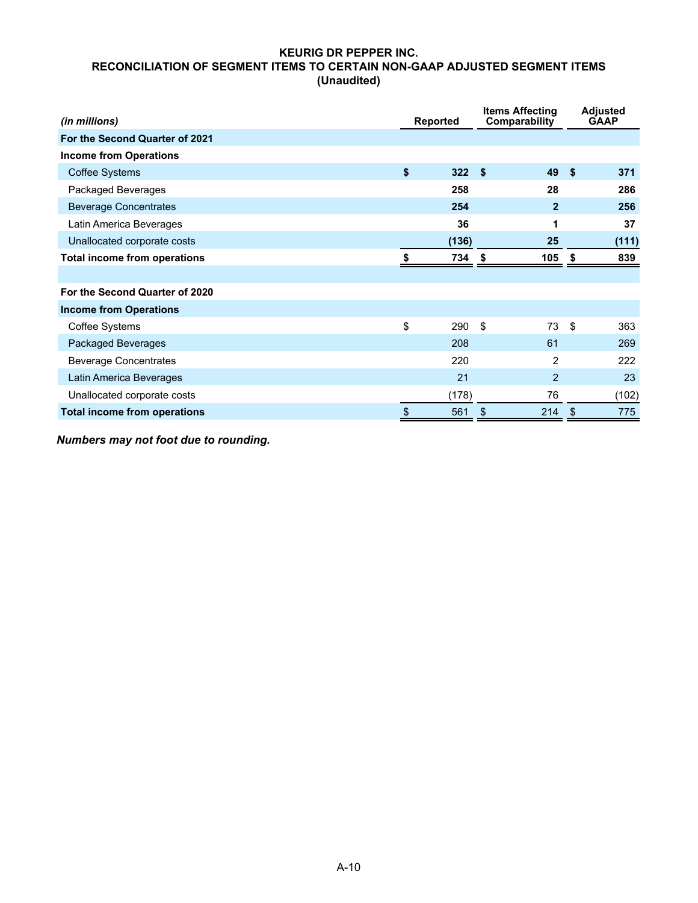# **KEURIG DR PEPPER INC. RECONCILIATION OF SEGMENT ITEMS TO CERTAIN NON-GAAP ADJUSTED SEGMENT ITEMS (Unaudited)**

| (in millions)                       | <b>Reported</b> |       | <b>Items Affecting</b><br>Comparability |            | <b>Adjusted</b><br><b>GAAP</b> |
|-------------------------------------|-----------------|-------|-----------------------------------------|------------|--------------------------------|
| For the Second Quarter of 2021      |                 |       |                                         |            |                                |
| <b>Income from Operations</b>       |                 |       |                                         |            |                                |
| <b>Coffee Systems</b>               | \$              | 322   | - \$<br>49                              | $\sqrt{5}$ | 371                            |
| Packaged Beverages                  |                 | 258   | 28                                      |            | 286                            |
| <b>Beverage Concentrates</b>        |                 | 254   | $\overline{2}$                          |            | 256                            |
| Latin America Beverages             |                 | 36    | 1                                       |            | 37                             |
| Unallocated corporate costs         |                 | (136) | 25                                      |            | (111)                          |
| <b>Total income from operations</b> |                 | 734   | 105<br>\$                               | \$         | 839                            |
|                                     |                 |       |                                         |            |                                |
| For the Second Quarter of 2020      |                 |       |                                         |            |                                |
| <b>Income from Operations</b>       |                 |       |                                         |            |                                |
| Coffee Systems                      | \$              | 290   | \$<br>73                                | - \$       | 363                            |
| Packaged Beverages                  |                 | 208   | 61                                      |            | 269                            |
| <b>Beverage Concentrates</b>        |                 | 220   | 2                                       |            | 222                            |
| Latin America Beverages             |                 | 21    | 2                                       |            | 23                             |
| Unallocated corporate costs         |                 | (178) | 76                                      |            | (102)                          |
| <b>Total income from operations</b> | \$              | 561   | \$<br>214                               | \$         | 775                            |

*Numbers may not foot due to rounding.*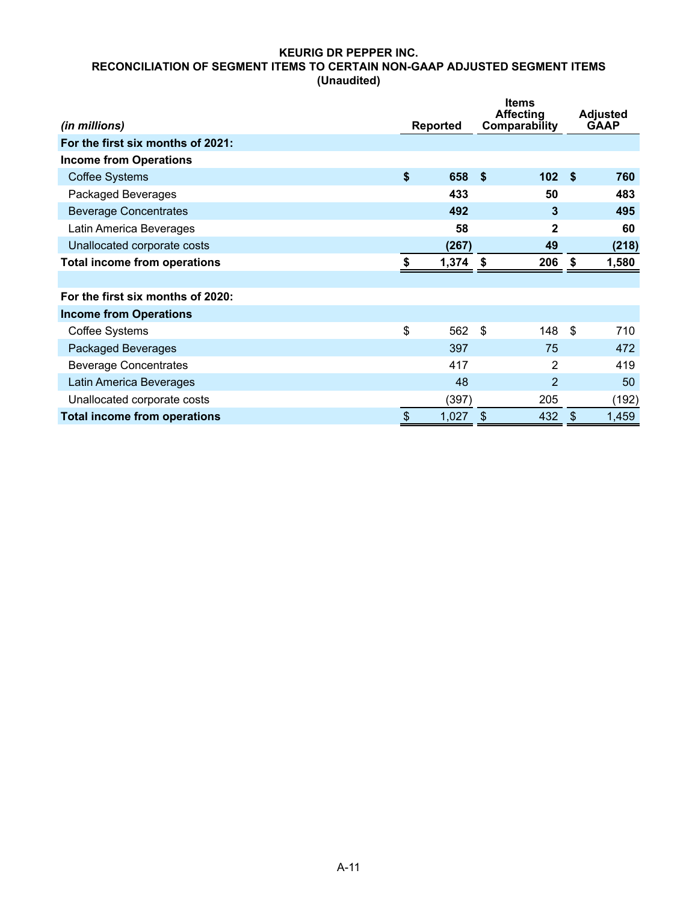# **KEURIG DR PEPPER INC. RECONCILIATION OF SEGMENT ITEMS TO CERTAIN NON-GAAP ADJUSTED SEGMENT ITEMS (Unaudited)**

| (in millions)                       |                           | <b>Reported</b> | <b>Items</b><br><b>Affecting</b><br>Comparability |               | <b>Adjusted</b><br><b>GAAP</b> |
|-------------------------------------|---------------------------|-----------------|---------------------------------------------------|---------------|--------------------------------|
| For the first six months of 2021:   |                           |                 |                                                   |               |                                |
| <b>Income from Operations</b>       |                           |                 |                                                   |               |                                |
| <b>Coffee Systems</b>               | \$                        | 658             | -\$<br>102 <sup>5</sup>                           |               | 760                            |
| Packaged Beverages                  |                           | 433             | 50                                                |               | 483                            |
| <b>Beverage Concentrates</b>        |                           | 492             | 3                                                 |               | 495                            |
| Latin America Beverages             |                           | 58              | 2                                                 |               | 60                             |
| Unallocated corporate costs         |                           | (267)           | 49                                                |               | (218)                          |
| <b>Total income from operations</b> | S                         | 1,374           | 206<br>-\$                                        | \$            | 1,580                          |
|                                     |                           |                 |                                                   |               |                                |
| For the first six months of 2020:   |                           |                 |                                                   |               |                                |
| <b>Income from Operations</b>       |                           |                 |                                                   |               |                                |
| <b>Coffee Systems</b>               | \$                        | 562             | \$<br>148                                         | \$            | 710                            |
| Packaged Beverages                  |                           | 397             | 75                                                |               | 472                            |
| <b>Beverage Concentrates</b>        |                           | 417             | 2                                                 |               | 419                            |
| Latin America Beverages             |                           | 48              | $\overline{2}$                                    |               | 50                             |
| Unallocated corporate costs         |                           | (397)           | 205                                               |               | (192)                          |
| <b>Total income from operations</b> | $\boldsymbol{\mathsf{S}}$ | 1,027           | 432<br>\$                                         | $\frac{1}{2}$ | 1,459                          |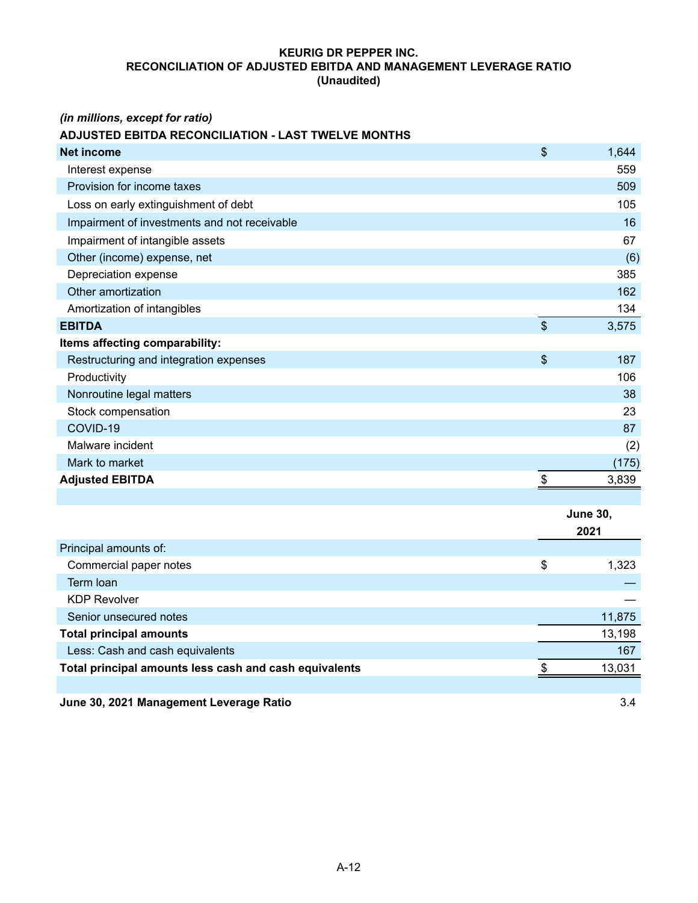# **KEURIG DR PEPPER INC. RECONCILIATION OF ADJUSTED EBITDA AND MANAGEMENT LEVERAGE RATIO (Unaudited)**

# *(in millions, except for ratio)*

# **ADJUSTED EBITDA RECONCILIATION - LAST TWELVE MONTHS**

| <b>Net income</b>                                      | \$                        | 1,644           |
|--------------------------------------------------------|---------------------------|-----------------|
| Interest expense                                       |                           | 559             |
| Provision for income taxes                             |                           | 509             |
| Loss on early extinguishment of debt                   |                           | 105             |
| Impairment of investments and not receivable           |                           | 16              |
| Impairment of intangible assets                        |                           | 67              |
| Other (income) expense, net                            |                           | (6)             |
| Depreciation expense                                   |                           | 385             |
| Other amortization                                     |                           | 162             |
| Amortization of intangibles                            |                           | 134             |
| <b>EBITDA</b>                                          | $\boldsymbol{\mathsf{S}}$ | 3,575           |
| Items affecting comparability:                         |                           |                 |
| Restructuring and integration expenses                 | \$                        | 187             |
| Productivity                                           |                           | 106             |
| Nonroutine legal matters                               |                           | 38              |
| Stock compensation                                     |                           | 23              |
| COVID-19                                               |                           | 87              |
| Malware incident                                       |                           | (2)             |
| Mark to market                                         |                           | (175)           |
| <b>Adjusted EBITDA</b>                                 | $\boldsymbol{\mathsf{S}}$ | 3,839           |
|                                                        |                           |                 |
|                                                        |                           | <b>June 30,</b> |
|                                                        |                           | 2021            |
| Principal amounts of:                                  |                           |                 |
| Commercial paper notes                                 | \$                        | 1,323           |
| Term Ioan                                              |                           |                 |
| <b>KDP Revolver</b>                                    |                           |                 |
| Senior unsecured notes                                 |                           | 11,875          |
| <b>Total principal amounts</b>                         |                           | 13,198          |
| Less: Cash and cash equivalents                        |                           | 167             |
| Total principal amounts less cash and cash equivalents | \$                        | 13,031          |
|                                                        |                           |                 |
| June 30, 2021 Management Leverage Ratio                |                           | 3.4             |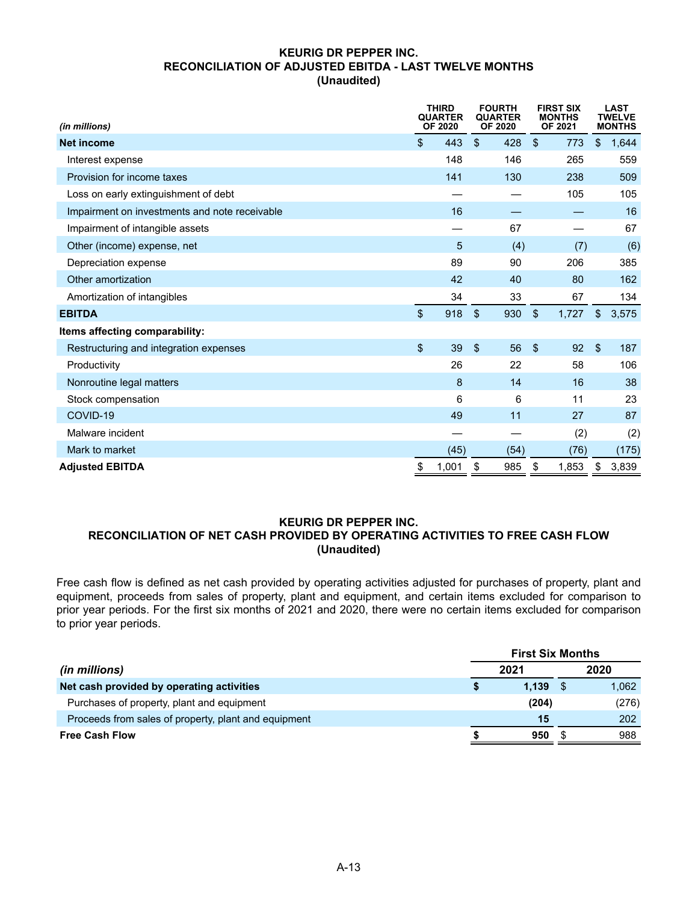### **KEURIG DR PEPPER INC. RECONCILIATION OF ADJUSTED EBITDA - LAST TWELVE MONTHS (Unaudited)**

| (in millions)                                 | <b>THIRD</b><br><b>QUARTER</b><br><b>OF 2020</b> |                         | <b>FOURTH</b><br><b>QUARTER</b><br>OF 2020 |                         | <b>FIRST SIX</b><br><b>MONTHS</b><br>OF 2021 |                         | <b>LAST</b><br><b>TWELVE</b><br><b>MONTHS</b> |
|-----------------------------------------------|--------------------------------------------------|-------------------------|--------------------------------------------|-------------------------|----------------------------------------------|-------------------------|-----------------------------------------------|
| <b>Net income</b>                             | \$<br>443                                        | $\mathfrak{S}$          | 428                                        | $\mathfrak{S}$          | 773                                          | \$                      | 1,644                                         |
| Interest expense                              | 148                                              |                         | 146                                        |                         | 265                                          |                         | 559                                           |
| Provision for income taxes                    | 141                                              |                         | 130                                        |                         | 238                                          |                         | 509                                           |
| Loss on early extinguishment of debt          |                                                  |                         |                                            |                         | 105                                          |                         | 105                                           |
| Impairment on investments and note receivable | 16                                               |                         |                                            |                         |                                              |                         | 16                                            |
| Impairment of intangible assets               |                                                  |                         | 67                                         |                         |                                              |                         | 67                                            |
| Other (income) expense, net                   | 5                                                |                         | (4)                                        |                         | (7)                                          |                         | (6)                                           |
| Depreciation expense                          | 89                                               |                         | 90                                         |                         | 206                                          |                         | 385                                           |
| Other amortization                            | 42                                               |                         | 40                                         |                         | 80                                           |                         | 162                                           |
| Amortization of intangibles                   | 34                                               |                         | 33                                         |                         | 67                                           |                         | 134                                           |
| <b>EBITDA</b>                                 | \$<br>918                                        | $\mathfrak{L}$          | 930                                        | $\mathfrak{S}$          | 1,727                                        | $\mathfrak{S}$          | 3,575                                         |
| Items affecting comparability:                |                                                  |                         |                                            |                         |                                              |                         |                                               |
| Restructuring and integration expenses        | \$<br>39                                         | $\sqrt[6]{\frac{1}{2}}$ | 56                                         | $\sqrt[6]{\frac{1}{2}}$ | 92                                           | $\sqrt[6]{\frac{1}{2}}$ | 187                                           |
| Productivity                                  | 26                                               |                         | 22                                         |                         | 58                                           |                         | 106                                           |
| Nonroutine legal matters                      | 8                                                |                         | 14                                         |                         | 16                                           |                         | 38                                            |
| Stock compensation                            | 6                                                |                         | 6                                          |                         | 11                                           |                         | 23                                            |
| COVID-19                                      | 49                                               |                         | 11                                         |                         | 27                                           |                         | 87                                            |
| Malware incident                              |                                                  |                         |                                            |                         | (2)                                          |                         | (2)                                           |
| Mark to market                                | (45)                                             |                         | (54)                                       |                         | (76)                                         |                         | (175)                                         |
| <b>Adjusted EBITDA</b>                        | \$<br>1,001                                      | \$                      | 985                                        | \$                      | 1,853                                        | \$                      | 3,839                                         |

### **KEURIG DR PEPPER INC. RECONCILIATION OF NET CASH PROVIDED BY OPERATING ACTIVITIES TO FREE CASH FLOW (Unaudited)**

Free cash flow is defined as net cash provided by operating activities adjusted for purchases of property, plant and equipment, proceeds from sales of property, plant and equipment, and certain items excluded for comparison to prior year periods. For the first six months of 2021 and 2020, there were no certain items excluded for comparison to prior year periods.

|                                                      | <b>First Six Months</b> |       |  |       |  |
|------------------------------------------------------|-------------------------|-------|--|-------|--|
| (in millions)                                        |                         | 2021  |  | 2020  |  |
| Net cash provided by operating activities            |                         | 1.139 |  | 1,062 |  |
| Purchases of property, plant and equipment           |                         | (204) |  | (276) |  |
| Proceeds from sales of property, plant and equipment |                         | 15    |  | 202   |  |
| <b>Free Cash Flow</b>                                |                         | 950   |  | 988   |  |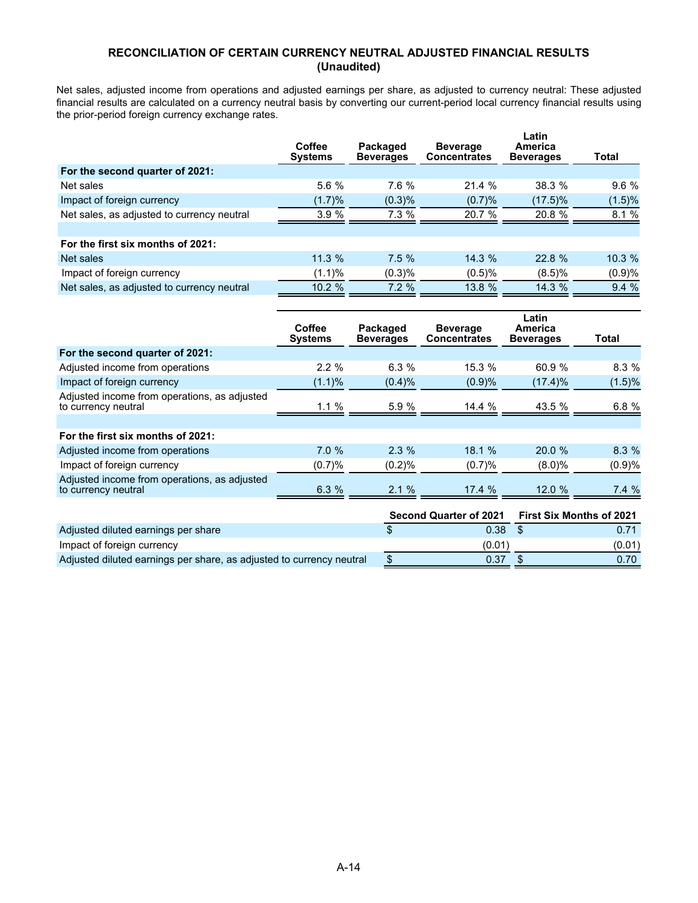# **RECONCILIATION OF CERTAIN CURRENCY NEUTRAL ADJUSTED FINANCIAL RESULTS (Unaudited)**

Net sales, adjusted income from operations and adjusted earnings per share, as adjusted to currency neutral: These adjusted financial results are calculated on a currency neutral basis by converting our current-period local currency financial results using the prior-period foreign currency exchange rates.

| Coffee<br><b>Systems</b> | Packaged<br><b>Beverages</b> | <b>Beverage</b><br><b>Concentrates</b> | Latin<br>America<br><b>Beverages</b> | Total   |
|--------------------------|------------------------------|----------------------------------------|--------------------------------------|---------|
|                          |                              |                                        |                                      |         |
| 5.6%                     | 7.6%                         | 21.4%                                  | 38.3%                                | $9.6\%$ |
| (1.7)%                   | (0.3)%                       | (0.7)%                                 | $(17.5)\%$                           | (1.5)%  |
| 3.9%                     | 7.3%                         | 20.7 %                                 | 20.8 %                               | 8.1%    |
|                          |                              |                                        |                                      |         |
|                          |                              |                                        |                                      |         |
| 11.3%                    | $7.5 \%$                     | 14.3%                                  | 22.8%                                | 10.3%   |
| (1.1)%                   | (0.3)%                       | (0.5)%                                 | $(8.5)\%$                            | (0.9)%  |
| 10.2 %                   | 7.2%                         | 13.8 %                                 | 14.3 %                               | 9.4%    |
|                          |                              |                                        |                                      |         |

|                                                                     | Coffee<br><b>Systems</b> | Packaged<br><b>Beverages</b> | <b>Beverage</b><br><b>Concentrates</b> | Latin<br>America<br><b>Beverages</b> | Total                           |
|---------------------------------------------------------------------|--------------------------|------------------------------|----------------------------------------|--------------------------------------|---------------------------------|
| For the second quarter of 2021:                                     |                          |                              |                                        |                                      |                                 |
| Adjusted income from operations                                     | 2.2%                     | 6.3%                         | 15.3 %                                 | 60.9 %                               | 8.3%                            |
| Impact of foreign currency                                          | $(1.1)\%$                | (0.4)%                       | (0.9)%                                 | $(17.4)\%$                           | (1.5)%                          |
| Adjusted income from operations, as adjusted<br>to currency neutral | 1.1%                     | 5.9%                         | 14.4%                                  | 43.5 %                               | 6.8 %                           |
|                                                                     |                          |                              |                                        |                                      |                                 |
| For the first six months of 2021:                                   |                          |                              |                                        |                                      |                                 |
| Adjusted income from operations                                     | 7.0%                     | $2.3\%$                      | 18.1%                                  | 20.0%                                | 8.3%                            |
| Impact of foreign currency                                          | (0.7)%                   | (0.2)%                       | (0.7)%                                 | $(8.0)\%$                            | (0.9)%                          |
| Adjusted income from operations, as adjusted<br>to currency neutral | 6.3%                     | 2.1%                         | 17.4%                                  | 12.0%                                | 7.4%                            |
|                                                                     |                          |                              | <b>Second Quarter of 2021</b>          |                                      | <b>First Six Months of 2021</b> |

|                                                                      |        | Second Quarter of 2021 First Six Months of 2021 |
|----------------------------------------------------------------------|--------|-------------------------------------------------|
| Adjusted diluted earnings per share                                  | 0.38   |                                                 |
| Impact of foreign currency                                           | (0.01) | (0.01)                                          |
| Adjusted diluted earnings per share, as adjusted to currency neutral | 0.37   | 0.70                                            |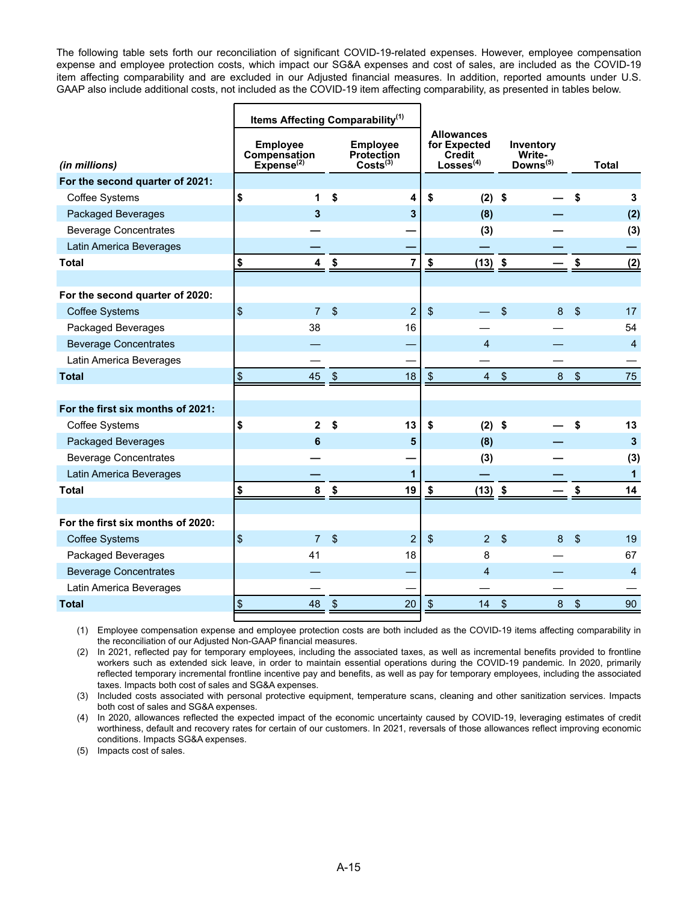The following table sets forth our reconciliation of significant COVID-19-related expenses. However, employee compensation expense and employee protection costs, which impact our SG&A expenses and cost of sales, are included as the COVID-19 item affecting comparability and are excluded in our Adjusted financial measures. In addition, reported amounts under U.S. GAAP also include additional costs, not included as the COVID-19 item affecting comparability, as presented in tables below.

|                                   | Items Affecting Comparability <sup>(1)</sup>              |                           |                                                       |                         |                                                               |                           |                                             |                |                |
|-----------------------------------|-----------------------------------------------------------|---------------------------|-------------------------------------------------------|-------------------------|---------------------------------------------------------------|---------------------------|---------------------------------------------|----------------|----------------|
| (in millions)                     | <b>Employee</b><br>Compensation<br>Expense <sup>(2)</sup> |                           | <b>Employee</b><br>Protection<br>Costs <sup>(3)</sup> |                         | <b>Allowances</b><br>for Expected<br>Credit<br>$Losses^{(4)}$ |                           | Inventory<br>Write-<br>Downs <sup>(5)</sup> |                | <b>Total</b>   |
| For the second quarter of 2021:   |                                                           |                           |                                                       |                         |                                                               |                           |                                             |                |                |
| Coffee Systems                    | \$<br>1                                                   | \$                        | 4                                                     | \$                      | $(2)$ \$                                                      |                           |                                             | \$             | 3              |
| Packaged Beverages                | 3                                                         |                           | 3                                                     |                         | (8)                                                           |                           |                                             |                | (2)            |
| <b>Beverage Concentrates</b>      |                                                           |                           |                                                       |                         | (3)                                                           |                           |                                             |                | (3)            |
| Latin America Beverages           |                                                           |                           |                                                       |                         |                                                               |                           |                                             |                |                |
| <b>Total</b>                      | \$<br>4                                                   | \$                        | $\overline{7}$                                        | \$                      | $(13)$ \$                                                     |                           |                                             | \$             | (2)            |
|                                   |                                                           |                           |                                                       |                         |                                                               |                           |                                             |                |                |
| For the second quarter of 2020:   |                                                           |                           |                                                       |                         |                                                               |                           |                                             |                |                |
| <b>Coffee Systems</b>             | $\sqrt{2}$<br>$\overline{7}$                              | $\mathfrak{S}$            | $\overline{2}$                                        | $\sqrt{2}$              |                                                               | $\mathfrak{s}$            | 8                                           | $\mathfrak{s}$ | 17             |
| Packaged Beverages                | 38                                                        |                           | 16                                                    |                         |                                                               |                           |                                             |                | 54             |
| <b>Beverage Concentrates</b>      |                                                           |                           |                                                       |                         | $\overline{4}$                                                |                           |                                             |                | $\overline{4}$ |
| Latin America Beverages           |                                                           |                           |                                                       |                         |                                                               |                           |                                             |                |                |
| <b>Total</b>                      | $\sqrt[6]{\frac{1}{2}}$<br>45                             | $\sqrt[6]{\frac{1}{2}}$   | 18                                                    | $\sqrt[6]{\frac{1}{2}}$ | $\overline{4}$                                                | $\sqrt[6]{\frac{1}{2}}$   | 8                                           | $\sqrt[6]{3}$  | 75             |
|                                   |                                                           |                           |                                                       |                         |                                                               |                           |                                             |                |                |
| For the first six months of 2021: |                                                           |                           |                                                       |                         |                                                               |                           |                                             |                |                |
| Coffee Systems                    | \$<br>$\overline{2}$                                      | \$                        | 13                                                    | \$                      | $(2)$ \$                                                      |                           |                                             | \$             | 13             |
| Packaged Beverages                | 6                                                         |                           | 5                                                     |                         | (8)                                                           |                           |                                             |                | $\mathbf{3}$   |
| <b>Beverage Concentrates</b>      |                                                           |                           |                                                       |                         | (3)                                                           |                           |                                             |                | (3)            |
| Latin America Beverages           |                                                           |                           | $\mathbf{1}$                                          |                         |                                                               |                           |                                             |                | $\mathbf{1}$   |
| <b>Total</b>                      | \$<br>8                                                   | \$                        | 19                                                    | S                       | $(13)$ \$                                                     |                           |                                             | \$             | 14             |
|                                   |                                                           |                           |                                                       |                         |                                                               |                           |                                             |                |                |
| For the first six months of 2020: |                                                           |                           |                                                       |                         |                                                               |                           |                                             |                |                |
| <b>Coffee Systems</b>             | $\sqrt[6]{\frac{1}{2}}$<br>$\overline{7}$                 | $\mathcal{S}$             | $\overline{2}$                                        | $\frac{1}{2}$           | 2 <sup>1</sup>                                                | $\sqrt{2}$                | 8                                           | $\frac{1}{2}$  | 19             |
| Packaged Beverages                | 41                                                        |                           | 18                                                    |                         | 8                                                             |                           |                                             |                | 67             |
| <b>Beverage Concentrates</b>      |                                                           |                           |                                                       |                         | $\overline{4}$                                                |                           |                                             |                | $\overline{4}$ |
| Latin America Beverages           |                                                           |                           |                                                       |                         |                                                               |                           |                                             |                |                |
| <b>Total</b>                      | $\boldsymbol{\theta}$<br>48                               | $\boldsymbol{\mathsf{S}}$ | 20                                                    | \$                      | 14                                                            | $\boldsymbol{\mathsf{S}}$ | $\bf 8$                                     | \$             | 90             |

(1) Employee compensation expense and employee protection costs are both included as the COVID-19 items affecting comparability in the reconciliation of our Adjusted Non-GAAP financial measures.

(2) In 2021, reflected pay for temporary employees, including the associated taxes, as well as incremental benefits provided to frontline workers such as extended sick leave, in order to maintain essential operations during the COVID-19 pandemic. In 2020, primarily reflected temporary incremental frontline incentive pay and benefits, as well as pay for temporary employees, including the associated taxes. Impacts both cost of sales and SG&A expenses.

(3) Included costs associated with personal protective equipment, temperature scans, cleaning and other sanitization services. Impacts both cost of sales and SG&A expenses.

(4) In 2020, allowances reflected the expected impact of the economic uncertainty caused by COVID-19, leveraging estimates of credit worthiness, default and recovery rates for certain of our customers. In 2021, reversals of those allowances reflect improving economic conditions. Impacts SG&A expenses.

(5) Impacts cost of sales.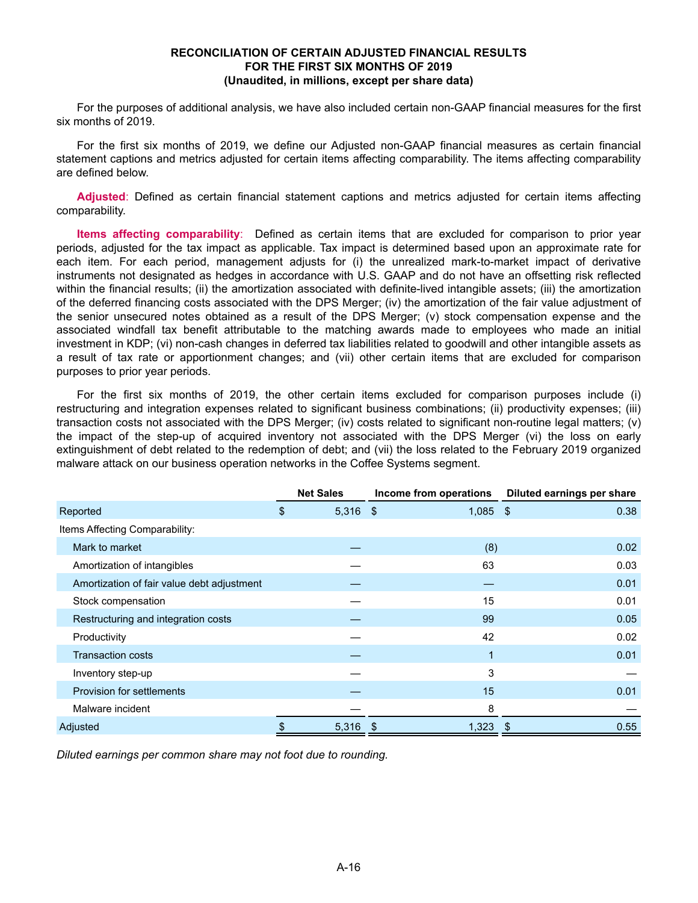#### **RECONCILIATION OF CERTAIN ADJUSTED FINANCIAL RESULTS FOR THE FIRST SIX MONTHS OF 2019 (Unaudited, in millions, except per share data)**

For the purposes of additional analysis, we have also included certain non-GAAP financial measures for the first six months of 2019.

For the first six months of 2019, we define our Adjusted non-GAAP financial measures as certain financial statement captions and metrics adjusted for certain items affecting comparability. The items affecting comparability are defined below.

**Adjusted**: Defined as certain financial statement captions and metrics adjusted for certain items affecting comparability.

**Items affecting comparability**: Defined as certain items that are excluded for comparison to prior year periods, adjusted for the tax impact as applicable. Tax impact is determined based upon an approximate rate for each item. For each period, management adjusts for (i) the unrealized mark-to-market impact of derivative instruments not designated as hedges in accordance with U.S. GAAP and do not have an offsetting risk reflected within the financial results; (ii) the amortization associated with definite-lived intangible assets; (iii) the amortization of the deferred financing costs associated with the DPS Merger; (iv) the amortization of the fair value adjustment of the senior unsecured notes obtained as a result of the DPS Merger; (v) stock compensation expense and the associated windfall tax benefit attributable to the matching awards made to employees who made an initial investment in KDP; (vi) non-cash changes in deferred tax liabilities related to goodwill and other intangible assets as a result of tax rate or apportionment changes; and (vii) other certain items that are excluded for comparison purposes to prior year periods.

For the first six months of 2019, the other certain items excluded for comparison purposes include (i) restructuring and integration expenses related to significant business combinations; (ii) productivity expenses; (iii) transaction costs not associated with the DPS Merger; (iv) costs related to significant non-routine legal matters; (v) the impact of the step-up of acquired inventory not associated with the DPS Merger (vi) the loss on early extinguishment of debt related to the redemption of debt; and (vii) the loss related to the February 2019 organized malware attack on our business operation networks in the Coffee Systems segment.

|                                            | <b>Net Sales</b> | Income from operations | Diluted earnings per share |
|--------------------------------------------|------------------|------------------------|----------------------------|
| Reported                                   | \$<br>5,316      | 1,085<br>- \$          | 0.38<br>- \$               |
| Items Affecting Comparability:             |                  |                        |                            |
| Mark to market                             |                  | (8)                    | 0.02                       |
| Amortization of intangibles                |                  | 63                     | 0.03                       |
| Amortization of fair value debt adjustment |                  |                        | 0.01                       |
| Stock compensation                         |                  | 15                     | 0.01                       |
| Restructuring and integration costs        |                  | 99                     | 0.05                       |
| Productivity                               |                  | 42                     | 0.02                       |
| <b>Transaction costs</b>                   |                  | 1                      | 0.01                       |
| Inventory step-up                          |                  | 3                      |                            |
| Provision for settlements                  |                  | 15                     | 0.01                       |
| Malware incident                           |                  | 8                      |                            |
| Adjusted                                   | 5,316            | 1,323                  | 0.55<br>-S                 |